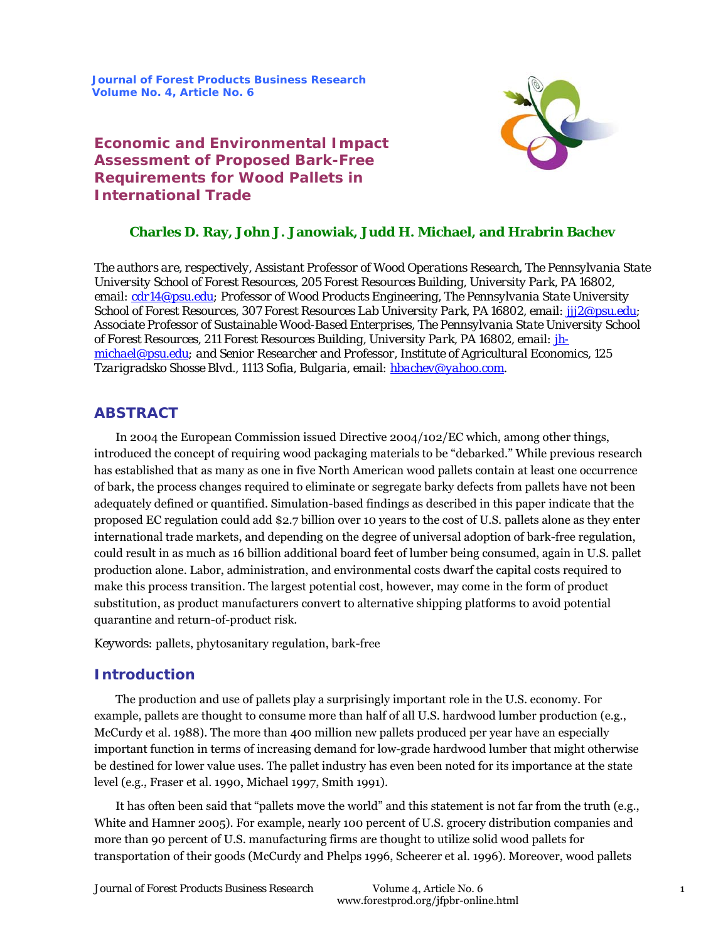**Journal of Forest Products Business Research Volume No. 4, Article No. 6**



# **Economic and Environmental Impact Assessment of Proposed Bark-Free Requirements for Wood Pallets in International Trade**

## **Charles D. Ray, John J. Janowiak, Judd H. Michael, and Hrabrin Bachev**

*The authors are, respectively, Assistant Professor of Wood Operations Research, The Pennsylvania State University School of Forest Resources, 205 Forest Resources Building, University Park, PA 16802, email: cdr14@psu.edu; Professor of Wood Products Engineering, The Pennsylvania State University School of Forest Resources, 307 Forest Resources Lab University Park, PA 16802, email: jjj2@psu.edu; Associate Professor of Sustainable Wood-Based Enterprises, The Pennsylvania State University School of Forest Resources, 211 Forest Resources Building, University Park, PA 16802, email: jhmichael@psu.edu; and Senior Researcher and Professor, Institute of Agricultural Economics, 125 Tzarigradsko Shosse Blvd., 1113 Sofia, Bulgaria, email: hbachev@yahoo.com.* 

## **ABSTRACT**

In 2004 the European Commission issued Directive 2004/102/EC which, among other things, introduced the concept of requiring wood packaging materials to be "debarked." While previous research has established that as many as one in five North American wood pallets contain at least one occurrence of bark, the process changes required to eliminate or segregate barky defects from pallets have not been adequately defined or quantified. Simulation-based findings as described in this paper indicate that the proposed EC regulation could add \$2.7 billion over 10 years to the cost of U.S. pallets alone as they enter international trade markets, and depending on the degree of universal adoption of bark-free regulation, could result in as much as 16 billion additional board feet of lumber being consumed, again in U.S. pallet production alone. Labor, administration, and environmental costs dwarf the capital costs required to make this process transition. The largest potential cost, however, may come in the form of product substitution, as product manufacturers convert to alternative shipping platforms to avoid potential quarantine and return-of-product risk.

*Keywords:* pallets, phytosanitary regulation, bark-free

## **Introduction**

The production and use of pallets play a surprisingly important role in the U.S. economy. For example, pallets are thought to consume more than half of all U.S. hardwood lumber production (e.g., McCurdy et al. 1988). The more than 400 million new pallets produced per year have an especially important function in terms of increasing demand for low-grade hardwood lumber that might otherwise be destined for lower value uses. The pallet industry has even been noted for its importance at the state level (e.g., Fraser et al. 1990, Michael 1997, Smith 1991).

It has often been said that "pallets move the world" and this statement is not far from the truth (e.g., White and Hamner 2005). For example, nearly 100 percent of U.S. grocery distribution companies and more than 90 percent of U.S. manufacturing firms are thought to utilize solid wood pallets for transportation of their goods (McCurdy and Phelps 1996, Scheerer et al. 1996). Moreover, wood pallets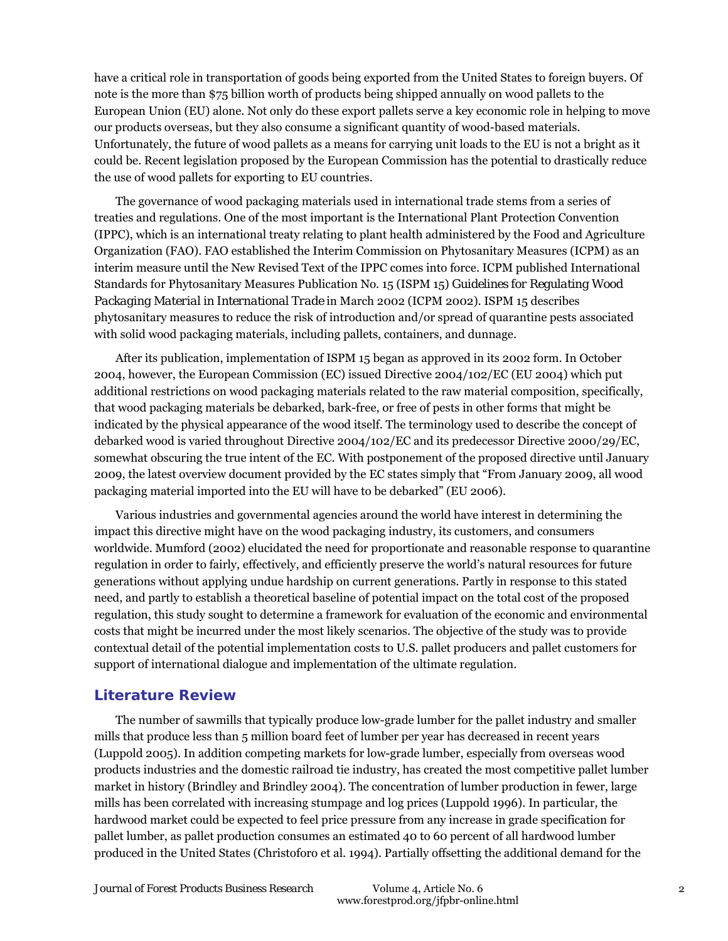have a critical role in transportation of goods being exported from the United States to foreign buyers. Of note is the more than \$75 billion worth of products being shipped annually on wood pallets to the European Union (EU) alone. Not only do these export pallets serve a key economic role in helping to move our products overseas, but they also consume a significant quantity of wood-based materials. Unfortunately, the future of wood pallets as a means for carrying unit loads to the EU is not a bright as it could be. Recent legislation proposed by the European Commission has the potential to drastically reduce the use of wood pallets for exporting to EU countries.

The governance of wood packaging materials used in international trade stems from a series of treaties and regulations. One of the most important is the International Plant Protection Convention (IPPC), which is an international treaty relating to plant health administered by the Food and Agriculture Organization (FAO). FAO established the Interim Commission on Phytosanitary Measures (ICPM) as an interim measure until the New Revised Text of the IPPC comes into force. ICPM published International Standards for Phytosanitary Measures Publication No. 15 (ISPM 15) *Guidelines for Regulating Wood Packaging Material in International Trade* in March 2002 (ICPM 2002). ISPM 15 describes phytosanitary measures to reduce the risk of introduction and/or spread of quarantine pests associated with solid wood packaging materials, including pallets, containers, and dunnage.

After its publication, implementation of ISPM 15 began as approved in its 2002 form. In October 2004, however, the European Commission (EC) issued Directive 2004/102/EC (EU 2004) which put additional restrictions on wood packaging materials related to the raw material composition, specifically, that wood packaging materials be debarked, bark-free, or free of pests in other forms that might be indicated by the physical appearance of the wood itself. The terminology used to describe the concept of debarked wood is varied throughout Directive 2004/102/EC and its predecessor Directive 2000/29/EC, somewhat obscuring the true intent of the EC. With postponement of the proposed directive until January 2009, the latest overview document provided by the EC states simply that "From January 2009, all wood packaging material imported into the EU will have to be debarked" (EU 2006).

Various industries and governmental agencies around the world have interest in determining the impact this directive might have on the wood packaging industry, its customers, and consumers worldwide. Mumford (2002) elucidated the need for proportionate and reasonable response to quarantine regulation in order to fairly, effectively, and efficiently preserve the world's natural resources for future generations without applying undue hardship on current generations. Partly in response to this stated need, and partly to establish a theoretical baseline of potential impact on the total cost of the proposed regulation, this study sought to determine a framework for evaluation of the economic and environmental costs that might be incurred under the most likely scenarios. The objective of the study was to provide contextual detail of the potential implementation costs to U.S. pallet producers and pallet customers for support of international dialogue and implementation of the ultimate regulation.

## **Literature Review**

The number of sawmills that typically produce low-grade lumber for the pallet industry and smaller mills that produce less than 5 million board feet of lumber per year has decreased in recent years (Luppold 2005). In addition competing markets for low-grade lumber, especially from overseas wood products industries and the domestic railroad tie industry, has created the most competitive pallet lumber market in history (Brindley and Brindley 2004). The concentration of lumber production in fewer, large mills has been correlated with increasing stumpage and log prices (Luppold 1996). In particular, the hardwood market could be expected to feel price pressure from any increase in grade specification for pallet lumber, as pallet production consumes an estimated 40 to 60 percent of all hardwood lumber produced in the United States (Christoforo et al. 1994). Partially offsetting the additional demand for the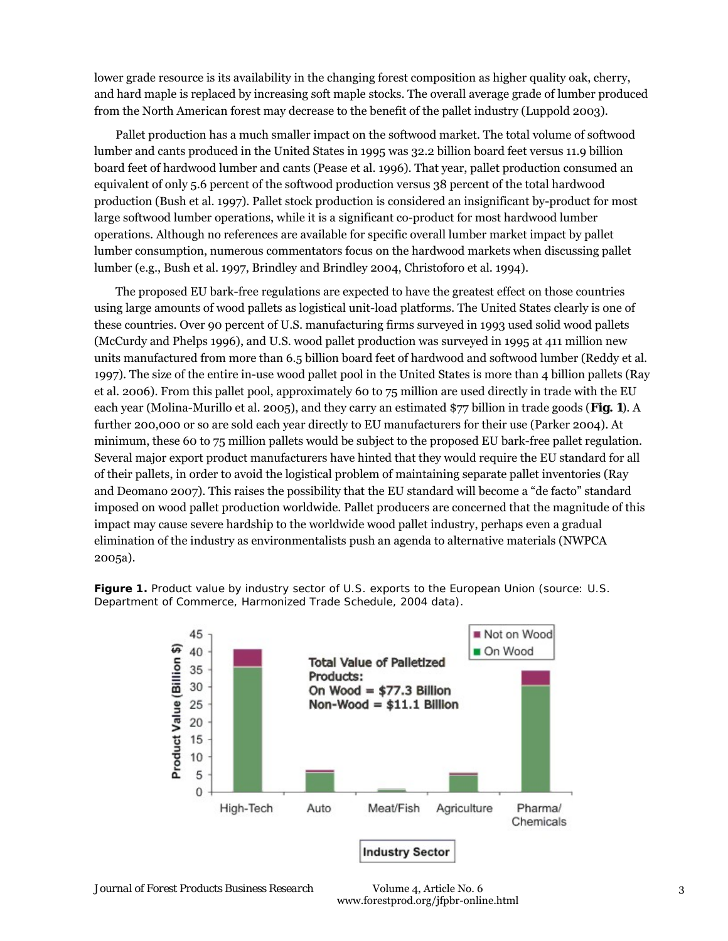lower grade resource is its availability in the changing forest composition as higher quality oak, cherry, and hard maple is replaced by increasing soft maple stocks. The overall average grade of lumber produced from the North American forest may decrease to the benefit of the pallet industry (Luppold 2003).

Pallet production has a much smaller impact on the softwood market. The total volume of softwood lumber and cants produced in the United States in 1995 was 32.2 billion board feet versus 11.9 billion board feet of hardwood lumber and cants (Pease et al. 1996). That year, pallet production consumed an equivalent of only 5.6 percent of the softwood production versus 38 percent of the total hardwood production (Bush et al. 1997). Pallet stock production is considered an insignificant by-product for most large softwood lumber operations, while it is a significant co-product for most hardwood lumber operations. Although no references are available for specific overall lumber market impact by pallet lumber consumption, numerous commentators focus on the hardwood markets when discussing pallet lumber (e.g., Bush et al. 1997, Brindley and Brindley 2004, Christoforo et al. 1994).

The proposed EU bark-free regulations are expected to have the greatest effect on those countries using large amounts of wood pallets as logistical unit-load platforms. The United States clearly is one of these countries. Over 90 percent of U.S. manufacturing firms surveyed in 1993 used solid wood pallets (McCurdy and Phelps 1996), and U.S. wood pallet production was surveyed in 1995 at 411 million new units manufactured from more than 6.5 billion board feet of hardwood and softwood lumber (Reddy et al. 1997). The size of the entire in-use wood pallet pool in the United States is more than 4 billion pallets (Ray et al. 2006). From this pallet pool, approximately 60 to 75 million are used directly in trade with the EU each year (Molina-Murillo et al. 2005), and they carry an estimated \$77 billion in trade goods (**Fig. 1**). A further 200,000 or so are sold each year directly to EU manufacturers for their use (Parker 2004). At minimum, these 60 to 75 million pallets would be subject to the proposed EU bark-free pallet regulation. Several major export product manufacturers have hinted that they would require the EU standard for all of their pallets, in order to avoid the logistical problem of maintaining separate pallet inventories (Ray and Deomano 2007). This raises the possibility that the EU standard will become a "de facto" standard imposed on wood pallet production worldwide. Pallet producers are concerned that the magnitude of this impact may cause severe hardship to the worldwide wood pallet industry, perhaps even a gradual elimination of the industry as environmentalists push an agenda to alternative materials (NWPCA 2005a).

Figure 1. Product value by industry sector of U.S. exports to the European Union (source: U.S. Department of Commerce, Harmonized Trade Schedule, 2004 data).

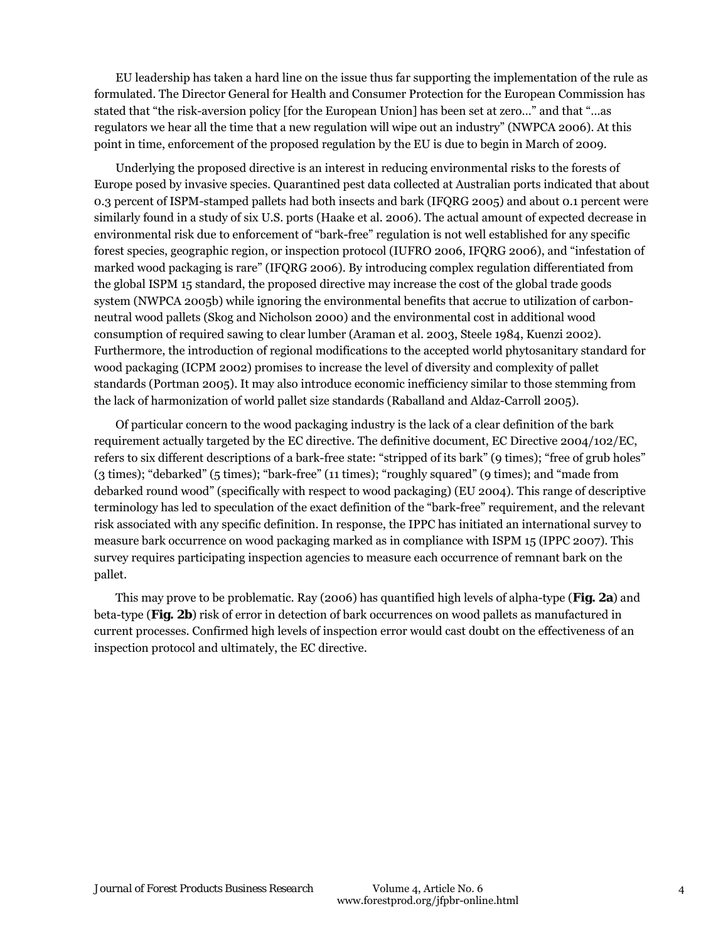EU leadership has taken a hard line on the issue thus far supporting the implementation of the rule as formulated. The Director General for Health and Consumer Protection for the European Commission has stated that "the risk-aversion policy [for the European Union] has been set at zero…" and that "…as regulators we hear all the time that a new regulation will wipe out an industry" (NWPCA 2006). At this point in time, enforcement of the proposed regulation by the EU is due to begin in March of 2009.

Underlying the proposed directive is an interest in reducing environmental risks to the forests of Europe posed by invasive species. Quarantined pest data collected at Australian ports indicated that about 0.3 percent of ISPM-stamped pallets had both insects and bark (IFQRG 2005) and about 0.1 percent were similarly found in a study of six U.S. ports (Haake et al. 2006). The actual amount of expected decrease in environmental risk due to enforcement of "bark-free" regulation is not well established for any specific forest species, geographic region, or inspection protocol (IUFRO 2006, IFQRG 2006), and "infestation of marked wood packaging is rare" (IFQRG 2006). By introducing complex regulation differentiated from the global ISPM 15 standard, the proposed directive may increase the cost of the global trade goods system (NWPCA 2005b) while ignoring the environmental benefits that accrue to utilization of carbonneutral wood pallets (Skog and Nicholson 2000) and the environmental cost in additional wood consumption of required sawing to clear lumber (Araman et al. 2003, Steele 1984, Kuenzi 2002). Furthermore, the introduction of regional modifications to the accepted world phytosanitary standard for wood packaging (ICPM 2002) promises to increase the level of diversity and complexity of pallet standards (Portman 2005). It may also introduce economic inefficiency similar to those stemming from the lack of harmonization of world pallet size standards (Raballand and Aldaz-Carroll 2005).

Of particular concern to the wood packaging industry is the lack of a clear definition of the bark requirement actually targeted by the EC directive. The definitive document, EC Directive 2004/102/EC, refers to six different descriptions of a bark-free state: "stripped of its bark" (9 times); "free of grub holes" (3 times); "debarked" (5 times); "bark-free" (11 times); "roughly squared" (9 times); and "made from debarked round wood" (specifically with respect to wood packaging) (EU 2004). This range of descriptive terminology has led to speculation of the exact definition of the "bark-free" requirement, and the relevant risk associated with any specific definition. In response, the IPPC has initiated an international survey to measure bark occurrence on wood packaging marked as in compliance with ISPM 15 (IPPC 2007). This survey requires participating inspection agencies to measure each occurrence of remnant bark on the pallet.

This may prove to be problematic. Ray (2006) has quantified high levels of alpha-type (**Fig. 2a**) and beta-type (**Fig. 2b**) risk of error in detection of bark occurrences on wood pallets as manufactured in current processes. Confirmed high levels of inspection error would cast doubt on the effectiveness of an inspection protocol and ultimately, the EC directive.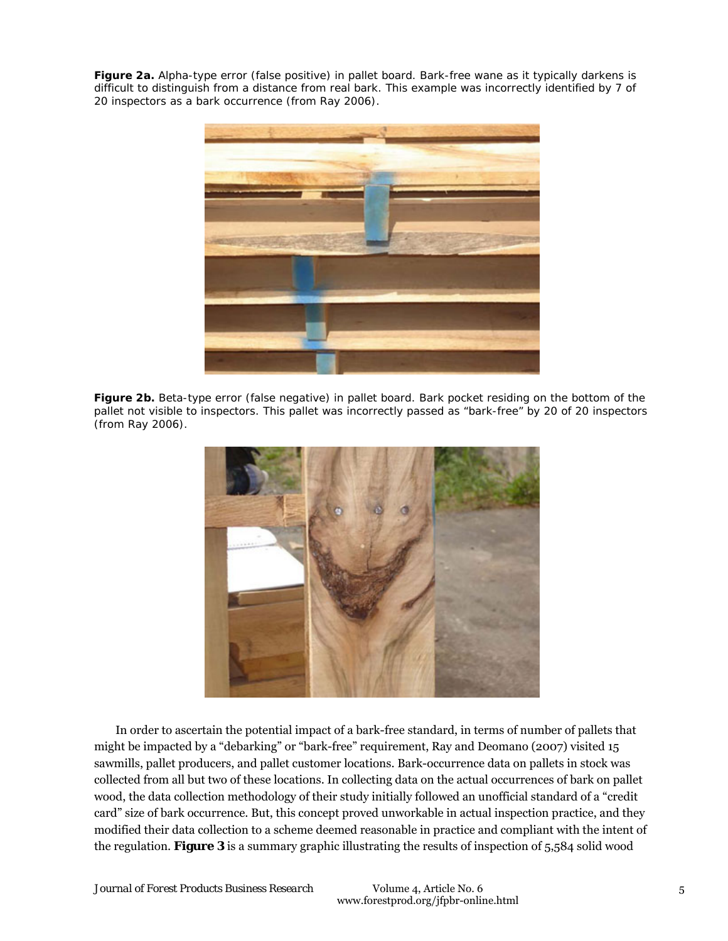**Figure 2a.** Alpha-type error (false positive) in pallet board. Bark-free wane as it typically darkens is difficult to distinguish from a distance from real bark. This example was incorrectly identified by 7 of 20 inspectors as a bark occurrence (from Ray 2006).



**Figure 2b.** Beta-type error (false negative) in pallet board. Bark pocket residing on the bottom of the pallet not visible to inspectors. This pallet was incorrectly passed as "bark-free" by 20 of 20 inspectors (from Ray 2006).



In order to ascertain the potential impact of a bark-free standard, in terms of number of pallets that might be impacted by a "debarking" or "bark-free" requirement, Ray and Deomano (2007) visited 15 sawmills, pallet producers, and pallet customer locations. Bark-occurrence data on pallets in stock was collected from all but two of these locations. In collecting data on the actual occurrences of bark on pallet wood, the data collection methodology of their study initially followed an unofficial standard of a "credit card" size of bark occurrence. But, this concept proved unworkable in actual inspection practice, and they modified their data collection to a scheme deemed reasonable in practice and compliant with the intent of the regulation. **Figure 3** is a summary graphic illustrating the results of inspection of 5,584 solid wood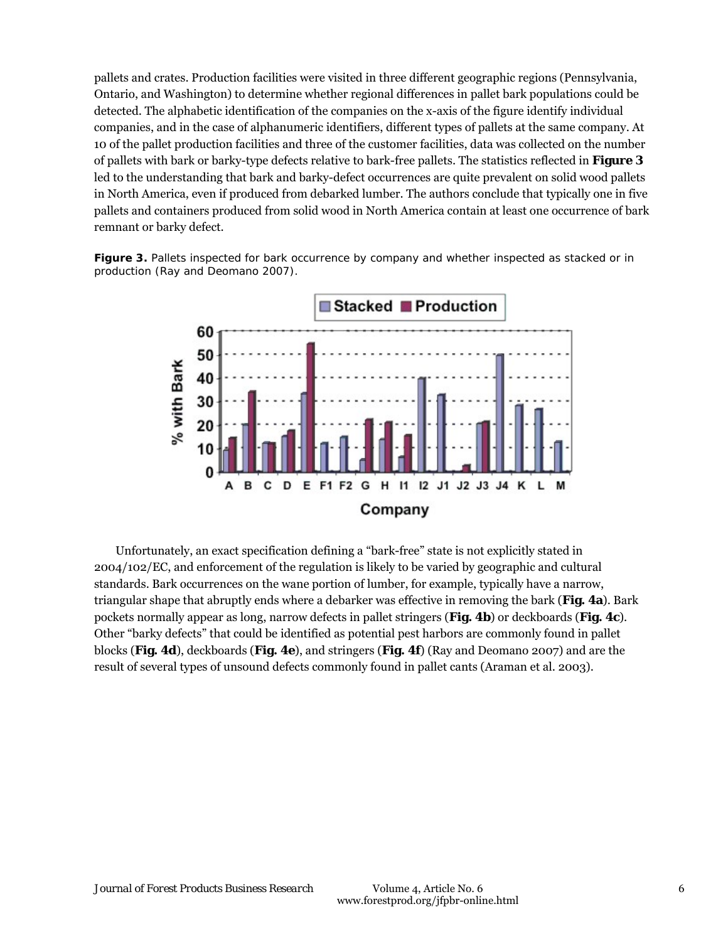pallets and crates. Production facilities were visited in three different geographic regions (Pennsylvania, Ontario, and Washington) to determine whether regional differences in pallet bark populations could be detected. The alphabetic identification of the companies on the x-axis of the figure identify individual companies, and in the case of alphanumeric identifiers, different types of pallets at the same company. At 10 of the pallet production facilities and three of the customer facilities, data was collected on the number of pallets with bark or barky-type defects relative to bark-free pallets. The statistics reflected in **Figure 3** led to the understanding that bark and barky-defect occurrences are quite prevalent on solid wood pallets in North America, even if produced from debarked lumber. The authors conclude that typically one in five pallets and containers produced from solid wood in North America contain at least one occurrence of bark remnant or barky defect.

**Figure 3.** Pallets inspected for bark occurrence by company and whether inspected as stacked or in production (Ray and Deomano 2007).



Unfortunately, an exact specification defining a "bark-free" state is not explicitly stated in 2004/102/EC, and enforcement of the regulation is likely to be varied by geographic and cultural standards. Bark occurrences on the wane portion of lumber, for example, typically have a narrow, triangular shape that abruptly ends where a debarker was effective in removing the bark (**Fig. 4a**). Bark pockets normally appear as long, narrow defects in pallet stringers (**Fig. 4b**) or deckboards (**Fig. 4c**). Other "barky defects" that could be identified as potential pest harbors are commonly found in pallet blocks (**Fig. 4d**), deckboards (**Fig. 4e**), and stringers (**Fig. 4f**) (Ray and Deomano 2007) and are the result of several types of unsound defects commonly found in pallet cants (Araman et al. 2003).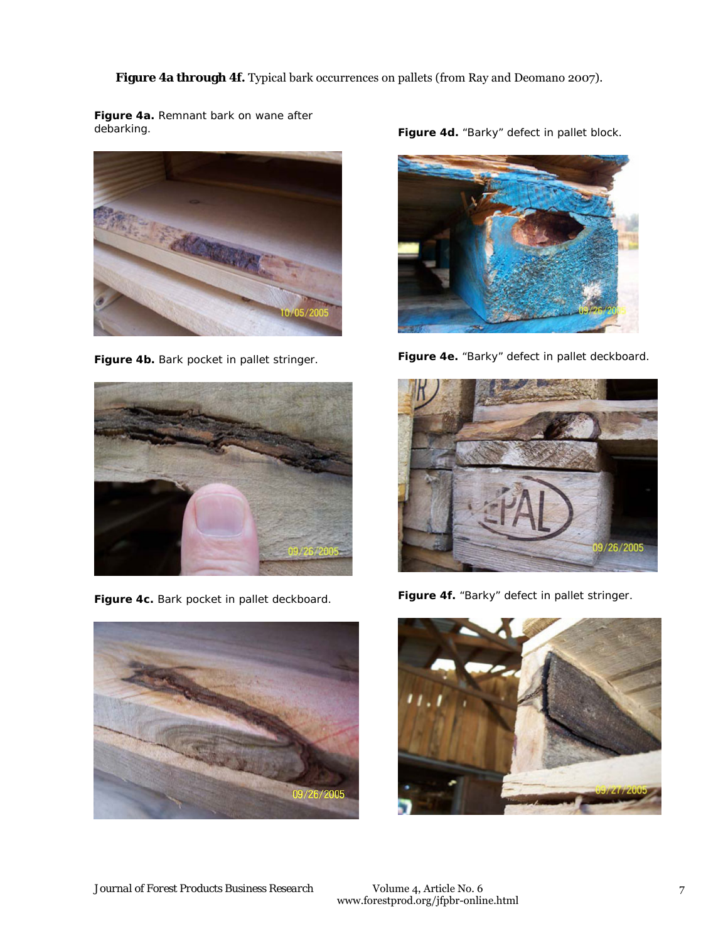Figure 4a through 4f. Typical bark occurrences on pallets (from Ray and Deomano 2007).

**Figure 4a.** Remnant bark on wane after debarking.



Figure 4b. Bark pocket in pallet stringer.



**Figure 4c.** Bark pocket in pallet deckboard.



Figure 4d. "Barky" defect in pallet block.



**Figure 4e.** "Barky" defect in pallet deckboard.



**Figure 4f.** "Barky" defect in pallet stringer.

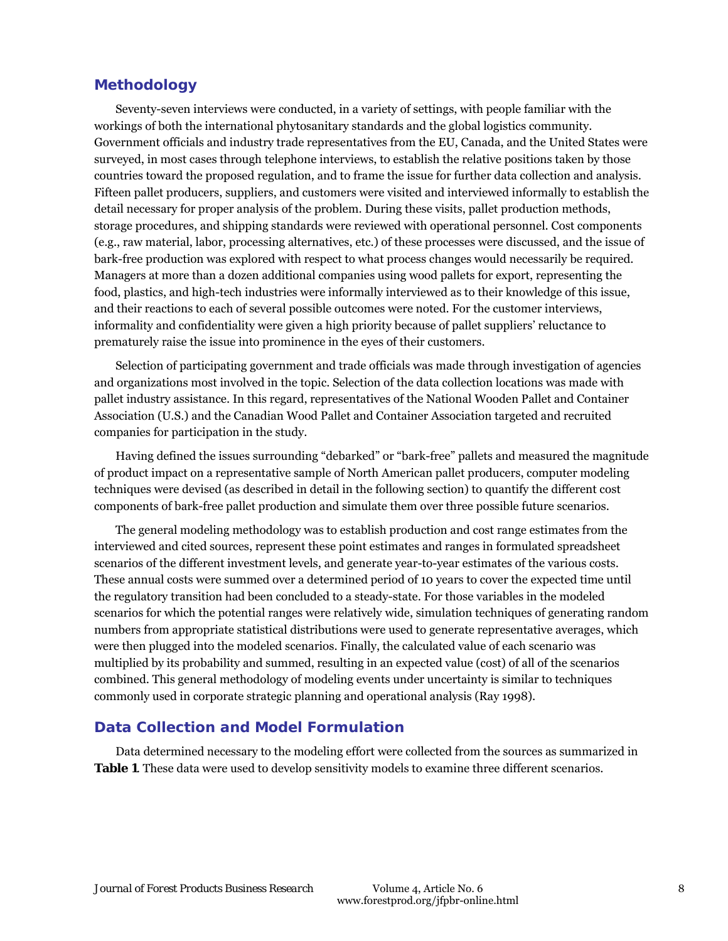#### **Methodology**

Seventy-seven interviews were conducted, in a variety of settings, with people familiar with the workings of both the international phytosanitary standards and the global logistics community. Government officials and industry trade representatives from the EU, Canada, and the United States were surveyed, in most cases through telephone interviews, to establish the relative positions taken by those countries toward the proposed regulation, and to frame the issue for further data collection and analysis. Fifteen pallet producers, suppliers, and customers were visited and interviewed informally to establish the detail necessary for proper analysis of the problem. During these visits, pallet production methods, storage procedures, and shipping standards were reviewed with operational personnel. Cost components (e.g., raw material, labor, processing alternatives, etc.) of these processes were discussed, and the issue of bark-free production was explored with respect to what process changes would necessarily be required. Managers at more than a dozen additional companies using wood pallets for export, representing the food, plastics, and high-tech industries were informally interviewed as to their knowledge of this issue, and their reactions to each of several possible outcomes were noted. For the customer interviews, informality and confidentiality were given a high priority because of pallet suppliers' reluctance to prematurely raise the issue into prominence in the eyes of their customers.

Selection of participating government and trade officials was made through investigation of agencies and organizations most involved in the topic. Selection of the data collection locations was made with pallet industry assistance. In this regard, representatives of the National Wooden Pallet and Container Association (U.S.) and the Canadian Wood Pallet and Container Association targeted and recruited companies for participation in the study.

Having defined the issues surrounding "debarked" or "bark-free" pallets and measured the magnitude of product impact on a representative sample of North American pallet producers, computer modeling techniques were devised (as described in detail in the following section) to quantify the different cost components of bark-free pallet production and simulate them over three possible future scenarios.

The general modeling methodology was to establish production and cost range estimates from the interviewed and cited sources, represent these point estimates and ranges in formulated spreadsheet scenarios of the different investment levels, and generate year-to-year estimates of the various costs. These annual costs were summed over a determined period of 10 years to cover the expected time until the regulatory transition had been concluded to a steady-state. For those variables in the modeled scenarios for which the potential ranges were relatively wide, simulation techniques of generating random numbers from appropriate statistical distributions were used to generate representative averages, which were then plugged into the modeled scenarios. Finally, the calculated value of each scenario was multiplied by its probability and summed, resulting in an expected value (cost) of all of the scenarios combined. This general methodology of modeling events under uncertainty is similar to techniques commonly used in corporate strategic planning and operational analysis (Ray 1998).

#### **Data Collection and Model Formulation**

Data determined necessary to the modeling effort were collected from the sources as summarized in **Table 1**. These data were used to develop sensitivity models to examine three different scenarios.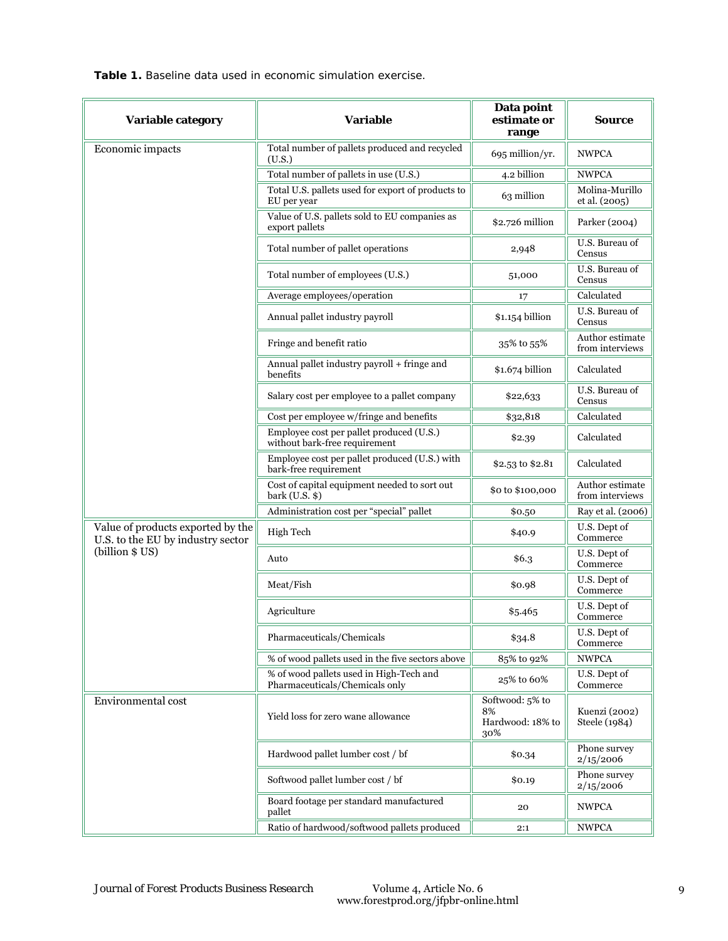**Table 1.** Baseline data used in economic simulation exercise.

| Variable category                                                      | <b>Variable</b>                                                           | Data point<br>estimate or<br>range               | Source                             |
|------------------------------------------------------------------------|---------------------------------------------------------------------------|--------------------------------------------------|------------------------------------|
| Economic impacts                                                       | Total number of pallets produced and recycled<br>(U.S.)                   | 695 million/yr.                                  | <b>NWPCA</b>                       |
|                                                                        | Total number of pallets in use (U.S.)                                     | 4.2 billion                                      | <b>NWPCA</b>                       |
|                                                                        | Total U.S. pallets used for export of products to<br>EU per year          | 63 million                                       | Molina-Murillo<br>et al. (2005)    |
|                                                                        | Value of U.S. pallets sold to EU companies as<br>export pallets           | \$2.726 million                                  | Parker (2004)                      |
|                                                                        | Total number of pallet operations                                         | 2,948                                            | U.S. Bureau of<br>Census           |
|                                                                        | Total number of employees (U.S.)                                          | 51,000                                           | U.S. Bureau of<br>Census           |
|                                                                        | Average employees/operation                                               | 17                                               | Calculated                         |
|                                                                        | Annual pallet industry payroll                                            | \$1.154 billion                                  | U.S. Bureau of<br>Census           |
|                                                                        | Fringe and benefit ratio                                                  | 35% to 55%                                       | Author estimate<br>from interviews |
|                                                                        | Annual pallet industry payroll + fringe and<br>benefits                   | \$1.674 billion                                  | Calculated                         |
|                                                                        | Salary cost per employee to a pallet company                              | \$22,633                                         | U.S. Bureau of<br>Census           |
|                                                                        | Cost per employee w/fringe and benefits                                   | \$32,818                                         | Calculated                         |
|                                                                        | Employee cost per pallet produced (U.S.)<br>without bark-free requirement | \$2.39                                           | Calculated                         |
|                                                                        | Employee cost per pallet produced (U.S.) with<br>bark-free requirement    | \$2.53 to \$2.81                                 | Calculated                         |
|                                                                        | Cost of capital equipment needed to sort out<br>bark $(U.S.$ \$)          | \$0 to \$100,000                                 | Author estimate<br>from interviews |
|                                                                        | Administration cost per "special" pallet                                  | \$0.50                                           | Ray et al. (2006)                  |
| Value of products exported by the<br>U.S. to the EU by industry sector | High Tech                                                                 | \$40.9                                           | U.S. Dept of<br>Commerce           |
| (billion \$ US)                                                        | Auto                                                                      | \$6.3\$                                          | U.S. Dept of<br>Commerce           |
|                                                                        | Meat/Fish                                                                 | \$0.98                                           | U.S. Dept of<br>Commerce           |
|                                                                        | Agriculture                                                               | \$5.465                                          | U.S. Dept of<br>Commerce           |
|                                                                        | Pharmaceuticals/Chemicals                                                 | \$34.8                                           | U.S. Dept of<br>Commerce           |
|                                                                        | % of wood pallets used in the five sectors above                          | 85% to 92%                                       | <b>NWPCA</b>                       |
|                                                                        | % of wood pallets used in High-Tech and<br>Pharmaceuticals/Chemicals only | 25% to 60%                                       | U.S. Dept of<br>Commerce           |
| Environmental cost                                                     | Yield loss for zero wane allowance                                        | Softwood: 5% to<br>8%<br>Hardwood: 18% to<br>30% | Kuenzi (2002)<br>Steele (1984)     |
|                                                                        | Hardwood pallet lumber cost / bf                                          | \$0.34                                           | Phone survey<br>2/15/2006          |
|                                                                        | Softwood pallet lumber cost / bf                                          | \$0.19                                           | Phone survey<br>2/15/2006          |
|                                                                        | Board footage per standard manufactured<br>pallet                         | 20                                               | <b>NWPCA</b>                       |
|                                                                        | Ratio of hardwood/softwood pallets produced                               | 2:1                                              | <b>NWPCA</b>                       |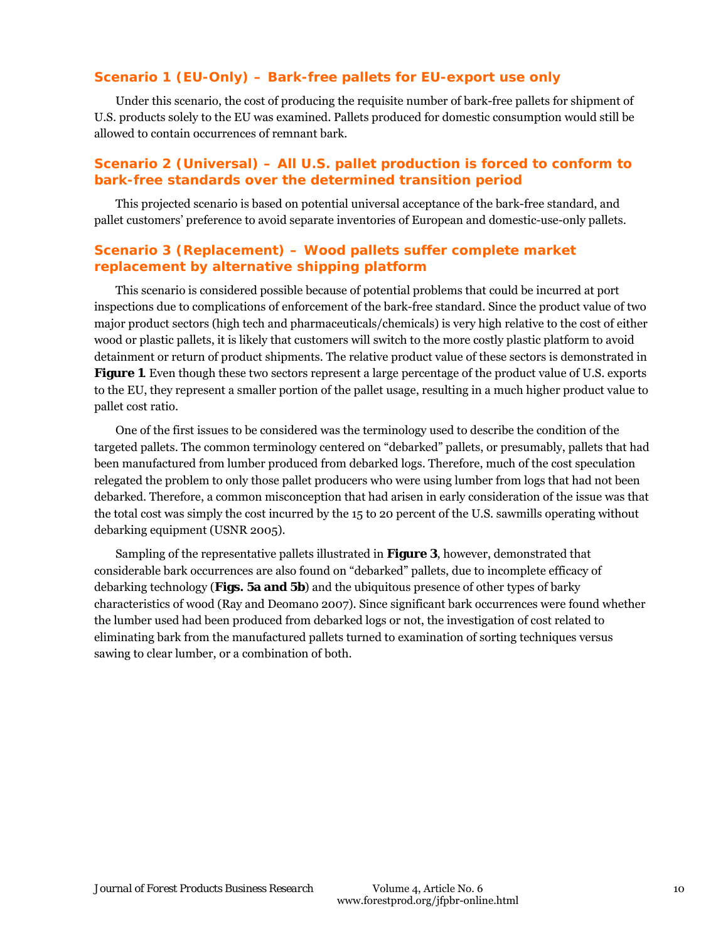#### **Scenario 1 (EU-Only) – Bark-free pallets for EU-export use only**

Under this scenario, the cost of producing the requisite number of bark-free pallets for shipment of U.S. products solely to the EU was examined. Pallets produced for domestic consumption would still be allowed to contain occurrences of remnant bark.

#### **Scenario 2 (Universal) – All U.S. pallet production is forced to conform to bark-free standards over the determined transition period**

This projected scenario is based on potential universal acceptance of the bark-free standard, and pallet customers' preference to avoid separate inventories of European and domestic-use-only pallets.

#### **Scenario 3 (Replacement) – Wood pallets suffer complete market replacement by alternative shipping platform**

This scenario is considered possible because of potential problems that could be incurred at port inspections due to complications of enforcement of the bark-free standard. Since the product value of two major product sectors (high tech and pharmaceuticals/chemicals) is very high relative to the cost of either wood or plastic pallets, it is likely that customers will switch to the more costly plastic platform to avoid detainment or return of product shipments. The relative product value of these sectors is demonstrated in **Figure 1**. Even though these two sectors represent a large percentage of the product value of U.S. exports to the EU, they represent a smaller portion of the pallet usage, resulting in a much higher product value to pallet cost ratio.

One of the first issues to be considered was the terminology used to describe the condition of the targeted pallets. The common terminology centered on "debarked" pallets, or presumably, pallets that had been manufactured from lumber produced from debarked logs. Therefore, much of the cost speculation relegated the problem to only those pallet producers who were using lumber from logs that had not been debarked. Therefore, a common misconception that had arisen in early consideration of the issue was that the total cost was simply the cost incurred by the 15 to 20 percent of the U.S. sawmills operating without debarking equipment (USNR 2005).

Sampling of the representative pallets illustrated in **Figure 3**, however, demonstrated that considerable bark occurrences are also found on "debarked" pallets, due to incomplete efficacy of debarking technology (**Figs. 5a and 5b**) and the ubiquitous presence of other types of barky characteristics of wood (Ray and Deomano 2007). Since significant bark occurrences were found whether the lumber used had been produced from debarked logs or not, the investigation of cost related to eliminating bark from the manufactured pallets turned to examination of sorting techniques versus sawing to clear lumber, or a combination of both.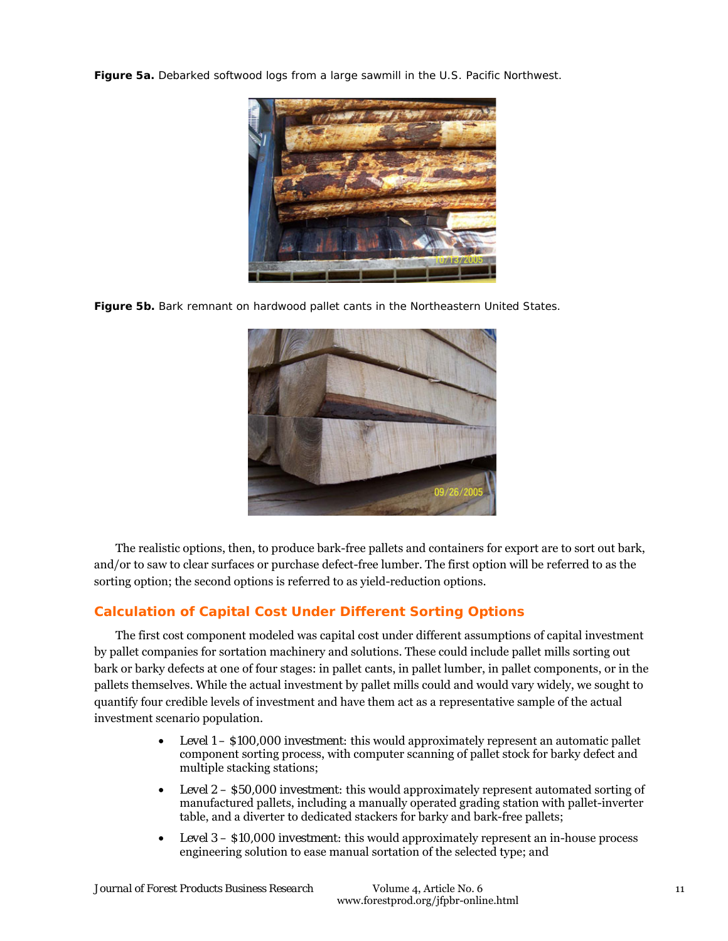**Figure 5a.** Debarked softwood logs from a large sawmill in the U.S. Pacific Northwest.



**Figure 5b.** Bark remnant on hardwood pallet cants in the Northeastern United States.



The realistic options, then, to produce bark-free pallets and containers for export are to sort out bark, and/or to saw to clear surfaces or purchase defect-free lumber. The first option will be referred to as the sorting option; the second options is referred to as yield-reduction options.

## **Calculation of Capital Cost Under Different Sorting Options**

The first cost component modeled was capital cost under different assumptions of capital investment by pallet companies for sortation machinery and solutions. These could include pallet mills sorting out bark or barky defects at one of four stages: in pallet cants, in pallet lumber, in pallet components, or in the pallets themselves. While the actual investment by pallet mills could and would vary widely, we sought to quantify four credible levels of investment and have them act as a representative sample of the actual investment scenario population.

- *Level 1 \$100,000 investment:* this would approximately represent an automatic pallet component sorting process, with computer scanning of pallet stock for barky defect and multiple stacking stations;
- *Level 2 \$50,000 investment:* this would approximately represent automated sorting of manufactured pallets, including a manually operated grading station with pallet-inverter table, and a diverter to dedicated stackers for barky and bark-free pallets;
- *Level 3 \$10,000 investment:* this would approximately represent an in-house process engineering solution to ease manual sortation of the selected type; and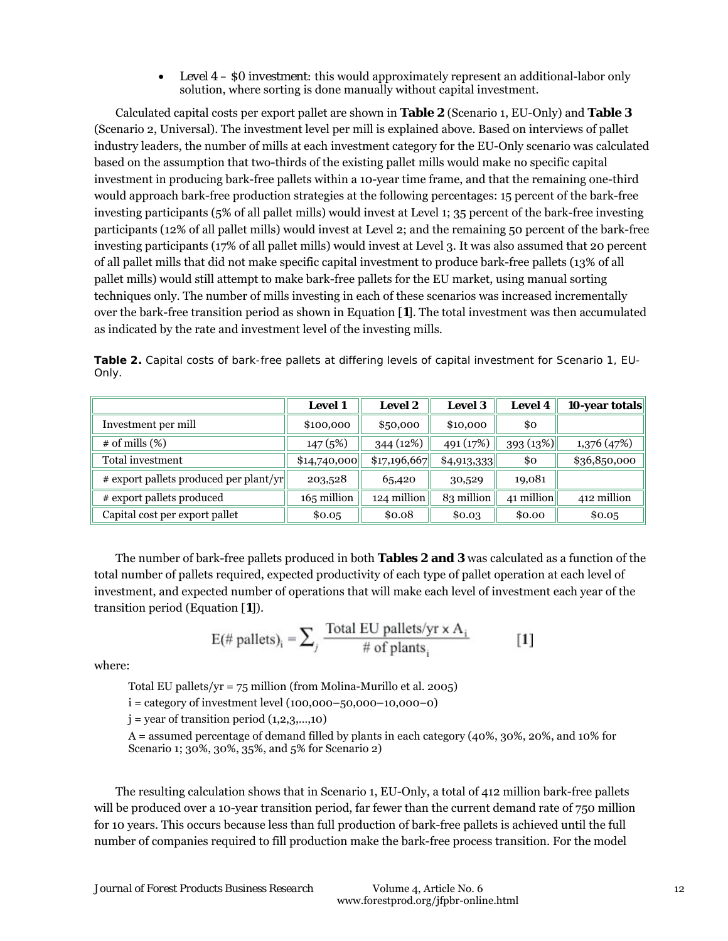• Level  $4 - 50$  investment: this would approximately represent an additional-labor only solution, where sorting is done manually without capital investment.

Calculated capital costs per export pallet are shown in **Table 2** (Scenario 1, EU-Only) and **Table 3** (Scenario 2, Universal). The investment level per mill is explained above. Based on interviews of pallet industry leaders, the number of mills at each investment category for the EU-Only scenario was calculated based on the assumption that two-thirds of the existing pallet mills would make no specific capital investment in producing bark-free pallets within a 10-year time frame, and that the remaining one-third would approach bark-free production strategies at the following percentages: 15 percent of the bark-free investing participants (5% of all pallet mills) would invest at Level 1; 35 percent of the bark-free investing participants (12% of all pallet mills) would invest at Level 2; and the remaining 50 percent of the bark-free investing participants (17% of all pallet mills) would invest at Level 3. It was also assumed that 20 percent of all pallet mills that did not make specific capital investment to produce bark-free pallets (13% of all pallet mills) would still attempt to make bark-free pallets for the EU market, using manual sorting techniques only. The number of mills investing in each of these scenarios was increased incrementally over the bark-free transition period as shown in Equation [**1**]. The total investment was then accumulated as indicated by the rate and investment level of the investing mills.

|       |  |  |  | Table 2. Capital costs of bark-free pallets at differing levels of capital investment for Scenario 1, EU- |  |
|-------|--|--|--|-----------------------------------------------------------------------------------------------------------|--|
| Only. |  |  |  |                                                                                                           |  |

|                                        | <b>Level 1</b> | <b>Level 2</b> | <b>Level 3</b> | <b>Level 4</b> | 10-year totals |
|----------------------------------------|----------------|----------------|----------------|----------------|----------------|
| Investment per mill                    | \$100,000      | \$50,000       | \$10,000       | \$0            |                |
| $\#$ of mills $(\%)$                   | 147(5%)        | 344 (12%)      | 491 (17%)      | 393(13%)       | 1,376 (47%)    |
| Total investment                       | \$14,740,000   | \$17,196,667   | \$4,913,333    | \$0            | \$36,850,000   |
| # export pallets produced per plant/yr | 203,528        | 65,420         | 30,529         | 19,081         |                |
| # export pallets produced              | 165 million    | 124 million    | 83 million     | 41 million     | 412 million    |
| Capital cost per export pallet         | \$0.05         | \$0.08         | \$0.03         | \$0.00         | \$0.05         |

The number of bark-free pallets produced in both **Tables 2 and 3** was calculated as a function of the total number of pallets required, expected productivity of each type of pallet operation at each level of investment, and expected number of operations that will make each level of investment each year of the transition period (Equation [**1**]).

$$
E(\text{\# pallets})_i = \sum_j \frac{\text{Total EU pallets/yr} \times A_i}{\text{\# of plants}_i}
$$
 [1]

where:

Total EU pallets/ $yr = 75$  million (from Molina-Murillo et al. 2005)

 $i = \text{category of investment level} (100,000 - 50,000 - 10,000 - 0)$ 

 $j = year$  of transition period  $(1,2,3,...,10)$ 

A = assumed percentage of demand filled by plants in each category (40%, 30%, 20%, and 10% for Scenario 1; 30%, 30%, 35%, and 5% for Scenario 2)

The resulting calculation shows that in Scenario 1, EU-Only, a total of 412 million bark-free pallets will be produced over a 10-year transition period, far fewer than the current demand rate of 750 million for 10 years. This occurs because less than full production of bark-free pallets is achieved until the full number of companies required to fill production make the bark-free process transition. For the model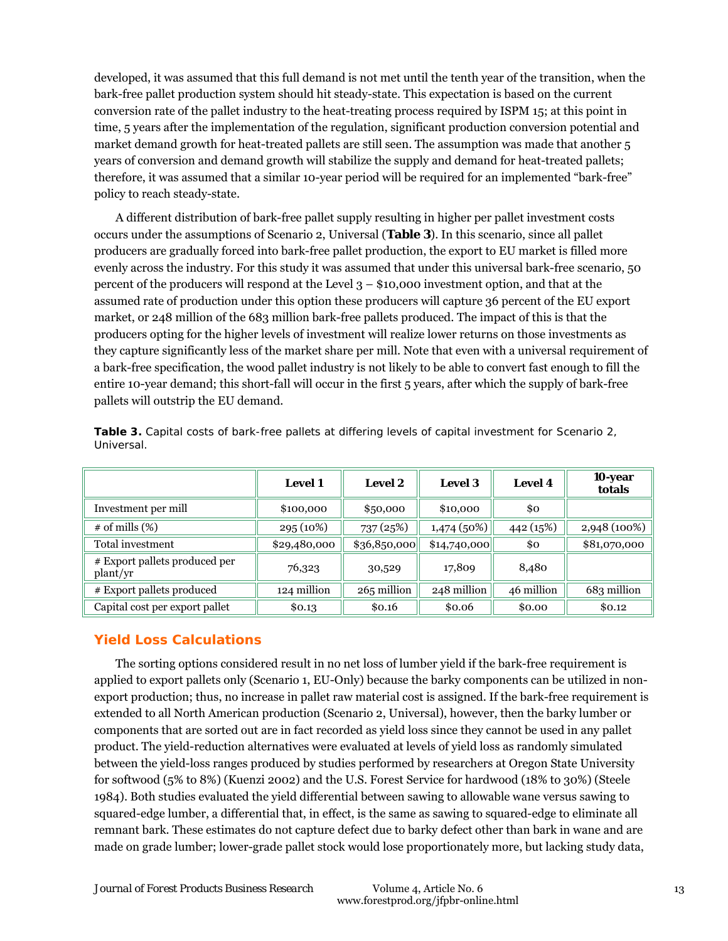developed, it was assumed that this full demand is not met until the tenth year of the transition, when the bark-free pallet production system should hit steady-state. This expectation is based on the current conversion rate of the pallet industry to the heat-treating process required by ISPM 15; at this point in time, 5 years after the implementation of the regulation, significant production conversion potential and market demand growth for heat-treated pallets are still seen. The assumption was made that another 5 years of conversion and demand growth will stabilize the supply and demand for heat-treated pallets; therefore, it was assumed that a similar 10-year period will be required for an implemented "bark-free" policy to reach steady-state.

A different distribution of bark-free pallet supply resulting in higher per pallet investment costs occurs under the assumptions of Scenario 2, Universal (**Table 3**). In this scenario, since all pallet producers are gradually forced into bark-free pallet production, the export to EU market is filled more evenly across the industry. For this study it was assumed that under this universal bark-free scenario, 50 percent of the producers will respond at the Level 3 – \$10,000 investment option, and that at the assumed rate of production under this option these producers will capture 36 percent of the EU export market, or 248 million of the 683 million bark-free pallets produced. The impact of this is that the producers opting for the higher levels of investment will realize lower returns on those investments as they capture significantly less of the market share per mill. Note that even with a universal requirement of a bark-free specification, the wood pallet industry is not likely to be able to convert fast enough to fill the entire 10-year demand; this short-fall will occur in the first 5 years, after which the supply of bark-free pallets will outstrip the EU demand.

|                                           | <b>Level 1</b> | <b>Level 2</b> | <b>Level 3</b> | <b>Level 4</b> | 10-year<br>totals |
|-------------------------------------------|----------------|----------------|----------------|----------------|-------------------|
| Investment per mill                       | \$100,000      | \$50,000       | \$10,000       | \$0            |                   |
| $\#$ of mills $(\%)$                      | 295(10%)       | 737 (25%)      | 1,474(50%)     | 442 (15%)      | 2,948 (100%)      |
| Total investment                          | \$29,480,000   | \$36,850,000   | \$14,740,000   | \$0            | \$81,070,000      |
| # Export pallets produced per<br>plant/yr | 76,323         | 30,529         | 17,809         | 8,480          |                   |
| # Export pallets produced                 | 124 million    | 265 million    | 248 million    | 46 million     | 683 million       |
| Capital cost per export pallet            | \$0.13         | \$0.16         | \$0.06         | \$0.00         | \$0.12            |

**Table 3.** Capital costs of bark-free pallets at differing levels of capital investment for Scenario 2, Universal.

## **Yield Loss Calculations**

The sorting options considered result in no net loss of lumber yield if the bark-free requirement is applied to export pallets only (Scenario 1, EU-Only) because the barky components can be utilized in nonexport production; thus, no increase in pallet raw material cost is assigned. If the bark-free requirement is extended to all North American production (Scenario 2, Universal), however, then the barky lumber or components that are sorted out are in fact recorded as yield loss since they cannot be used in any pallet product. The yield-reduction alternatives were evaluated at levels of yield loss as randomly simulated between the yield-loss ranges produced by studies performed by researchers at Oregon State University for softwood (5% to 8%) (Kuenzi 2002) and the U.S. Forest Service for hardwood (18% to 30%) (Steele 1984). Both studies evaluated the yield differential between sawing to allowable wane versus sawing to squared-edge lumber, a differential that, in effect, is the same as sawing to squared-edge to eliminate all remnant bark. These estimates do not capture defect due to barky defect other than bark in wane and are made on grade lumber; lower-grade pallet stock would lose proportionately more, but lacking study data,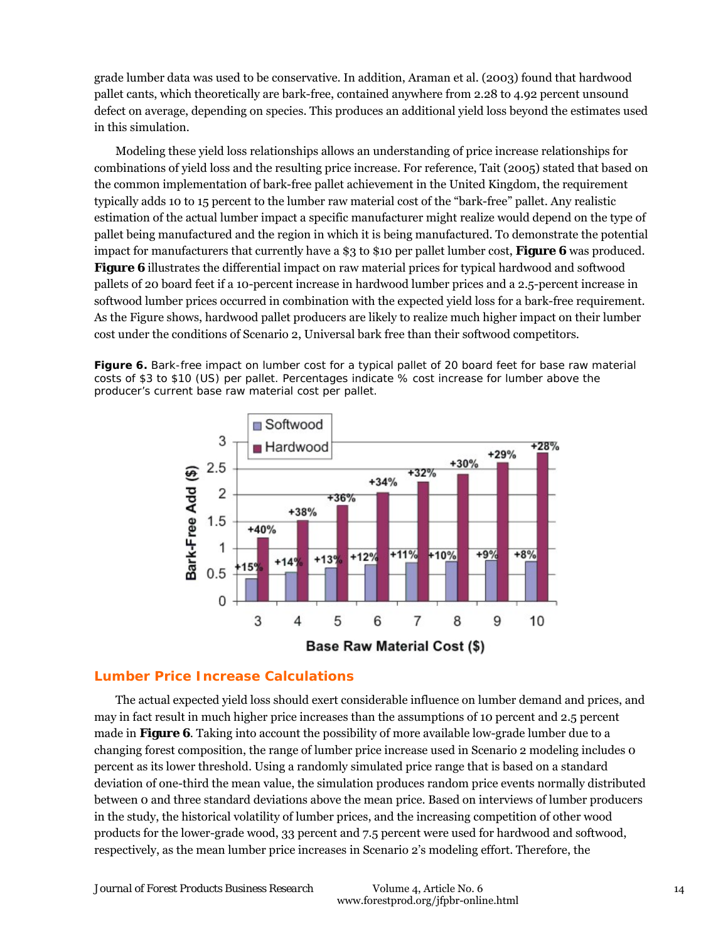grade lumber data was used to be conservative. In addition, Araman et al. (2003) found that hardwood pallet cants, which theoretically are bark-free, contained anywhere from 2.28 to 4.92 percent unsound defect on average, depending on species. This produces an additional yield loss beyond the estimates used in this simulation.

Modeling these yield loss relationships allows an understanding of price increase relationships for combinations of yield loss and the resulting price increase. For reference, Tait (2005) stated that based on the common implementation of bark-free pallet achievement in the United Kingdom, the requirement typically adds 10 to 15 percent to the lumber raw material cost of the "bark-free" pallet. Any realistic estimation of the actual lumber impact a specific manufacturer might realize would depend on the type of pallet being manufactured and the region in which it is being manufactured. To demonstrate the potential impact for manufacturers that currently have a \$3 to \$10 per pallet lumber cost, **Figure 6** was produced. **Figure 6** illustrates the differential impact on raw material prices for typical hardwood and softwood pallets of 20 board feet if a 10-percent increase in hardwood lumber prices and a 2.5-percent increase in softwood lumber prices occurred in combination with the expected yield loss for a bark-free requirement. As the Figure shows, hardwood pallet producers are likely to realize much higher impact on their lumber cost under the conditions of Scenario 2, Universal bark free than their softwood competitors.

**Figure 6.** Bark-free impact on lumber cost for a typical pallet of 20 board feet for base raw material costs of \$3 to \$10 (US) per pallet. Percentages indicate % cost increase for lumber above the producer's current base raw material cost per pallet.



#### **Lumber Price Increase Calculations**

The actual expected yield loss should exert considerable influence on lumber demand and prices, and may in fact result in much higher price increases than the assumptions of 10 percent and 2.5 percent made in **Figure 6**. Taking into account the possibility of more available low-grade lumber due to a changing forest composition, the range of lumber price increase used in Scenario 2 modeling includes 0 percent as its lower threshold. Using a randomly simulated price range that is based on a standard deviation of one-third the mean value, the simulation produces random price events normally distributed between 0 and three standard deviations above the mean price. Based on interviews of lumber producers in the study, the historical volatility of lumber prices, and the increasing competition of other wood products for the lower-grade wood, 33 percent and 7.5 percent were used for hardwood and softwood, respectively, as the mean lumber price increases in Scenario 2's modeling effort. Therefore, the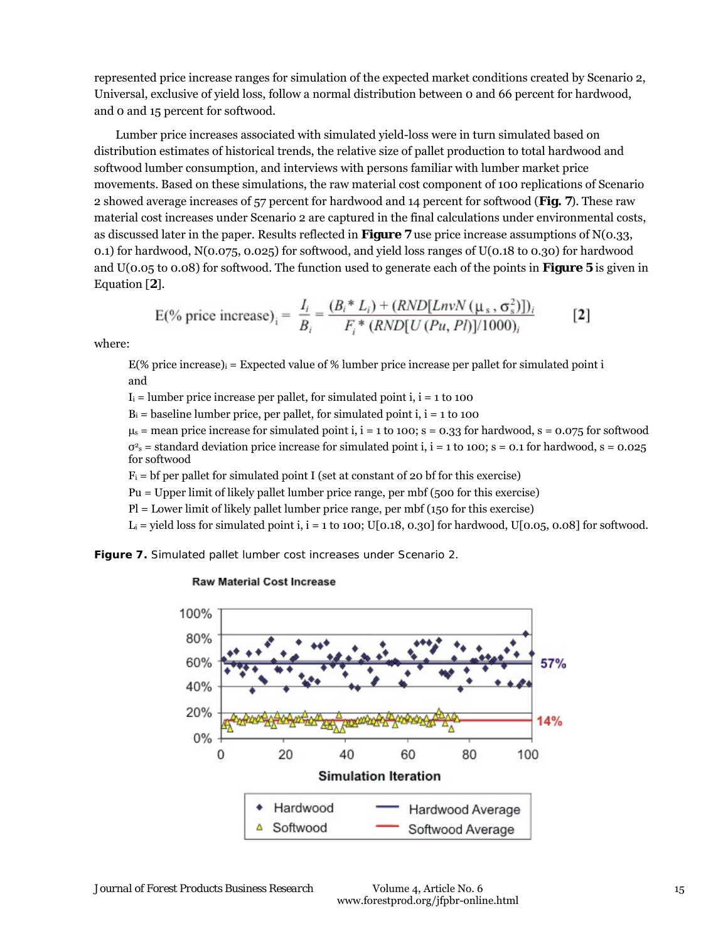represented price increase ranges for simulation of the expected market conditions created by Scenario 2, Universal, exclusive of yield loss, follow a normal distribution between 0 and 66 percent for hardwood, and 0 and 15 percent for softwood.

Lumber price increases associated with simulated yield-loss were in turn simulated based on distribution estimates of historical trends, the relative size of pallet production to total hardwood and softwood lumber consumption, and interviews with persons familiar with lumber market price movements. Based on these simulations, the raw material cost component of 100 replications of Scenario 2 showed average increases of 57 percent for hardwood and 14 percent for softwood (**Fig. 7**). These raw material cost increases under Scenario 2 are captured in the final calculations under environmental costs, as discussed later in the paper. Results reflected in **Figure 7** use price increase assumptions of N(0.33, 0.1) for hardwood, N(0.075, 0.025) for softwood, and yield loss ranges of U(0.18 to 0.30) for hardwood and U(0.05 to 0.08) for softwood. The function used to generate each of the points in **Figure 5** is given in Equation [**2**].

E(%) price increase)<sub>i</sub> = 
$$
\frac{I_i}{B_i} = \frac{(B_i * L_i) + (RND[LnvN (\mu_s, \sigma_s^2)])_i}{F_i * (RND[U (Pu, Pl)]/1000)_i}
$$
 [2]

where:

E(% price increase)i = Expected value of % lumber price increase per pallet for simulated point i and

 $I_i$  = lumber price increase per pallet, for simulated point i,  $i = 1$  to 100

 $B_i$  = baseline lumber price, per pallet, for simulated point i,  $i = 1$  to 100

 $\mu_s$  = mean price increase for simulated point i, i = 1 to 100; s = 0.33 for hardwood, s = 0.075 for softwood  $\sigma^2$ <sub>s</sub> = standard deviation price increase for simulated point i, i = 1 to 100; s = 0.1 for hardwood, s = 0.025 for softwood

 $F_i$  = bf per pallet for simulated point I (set at constant of 20 bf for this exercise)

Pu = Upper limit of likely pallet lumber price range, per mbf (500 for this exercise)

Pl = Lower limit of likely pallet lumber price range, per mbf (150 for this exercise)

 $L_i$  = yield loss for simulated point i, i = 1 to 100; U[0.18, 0.30] for hardwood, U[0.05, 0.08] for softwood.

**Figure 7.** Simulated pallet lumber cost increases under Scenario 2.



#### **Raw Material Cost Increase**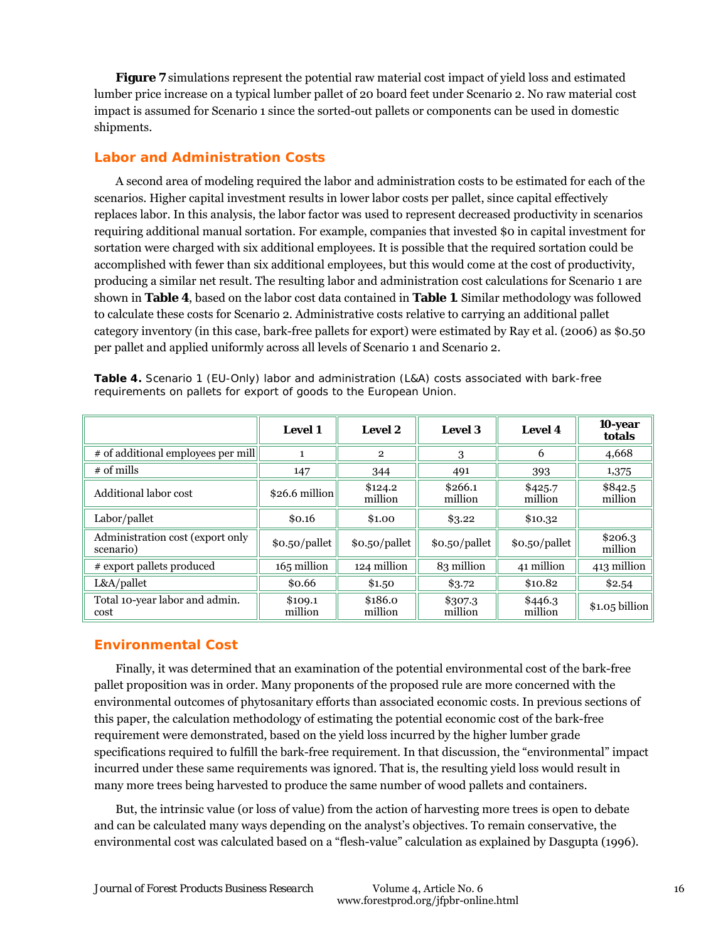**Figure 7** simulations represent the potential raw material cost impact of yield loss and estimated lumber price increase on a typical lumber pallet of 20 board feet under Scenario 2. No raw material cost impact is assumed for Scenario 1 since the sorted-out pallets or components can be used in domestic shipments.

#### **Labor and Administration Costs**

A second area of modeling required the labor and administration costs to be estimated for each of the scenarios. Higher capital investment results in lower labor costs per pallet, since capital effectively replaces labor. In this analysis, the labor factor was used to represent decreased productivity in scenarios requiring additional manual sortation. For example, companies that invested \$0 in capital investment for sortation were charged with six additional employees. It is possible that the required sortation could be accomplished with fewer than six additional employees, but this would come at the cost of productivity, producing a similar net result. The resulting labor and administration cost calculations for Scenario 1 are shown in **Table 4**, based on the labor cost data contained in **Table 1**. Similar methodology was followed to calculate these costs for Scenario 2. Administrative costs relative to carrying an additional pallet category inventory (in this case, bark-free pallets for export) were estimated by Ray et al. (2006) as \$0.50 per pallet and applied uniformly across all levels of Scenario 1 and Scenario 2.

|                                               | <b>Level 1</b>     | <b>Level 2</b>     | <b>Level 3</b>     | <b>Level 4</b>     | 10-year<br>totals  |
|-----------------------------------------------|--------------------|--------------------|--------------------|--------------------|--------------------|
| # of additional employees per mill            |                    | $\mathbf{2}$       | 3                  | 6                  | 4,668              |
| $#$ of mills                                  | 147                | 344                | 491                | 393                | 1,375              |
| Additional labor cost                         | $$26.6$ million    | \$124.2<br>million | \$266.1<br>million | \$425.7<br>million | \$842.5<br>million |
| Labor/pallet                                  | \$0.16             | \$1.00             | \$3.22             | \$10.32            |                    |
| Administration cost (export only<br>scenario) | \$0.50/pallet      | \$0.50/pallet      | \$0.50/pallet      | \$0.50/pallet      | \$206.3<br>million |
| # export pallets produced                     | 165 million        | 124 million        | 83 million         | 41 million         | 413 million        |
| L&A/pallet                                    | \$0.66             | \$1.50             | \$3.72             | \$10.82            | \$2.54             |
| Total 10-year labor and admin.<br>cost        | \$109.1<br>million | \$186.0<br>million | \$307.3<br>million | \$446.3<br>million | $$1.05$ billion    |

**Table 4.** Scenario 1 (EU-Only) labor and administration (L&A) costs associated with bark-free requirements on pallets for export of goods to the European Union.

## **Environmental Cost**

Finally, it was determined that an examination of the potential environmental cost of the bark-free pallet proposition was in order. Many proponents of the proposed rule are more concerned with the environmental outcomes of phytosanitary efforts than associated economic costs. In previous sections of this paper, the calculation methodology of estimating the potential economic cost of the bark-free requirement were demonstrated, based on the yield loss incurred by the higher lumber grade specifications required to fulfill the bark-free requirement. In that discussion, the "environmental" impact incurred under these same requirements was ignored. That is, the resulting yield loss would result in many more trees being harvested to produce the same number of wood pallets and containers.

But, the intrinsic value (or loss of value) from the action of harvesting more trees is open to debate and can be calculated many ways depending on the analyst's objectives. To remain conservative, the environmental cost was calculated based on a "flesh-value" calculation as explained by Dasgupta (1996).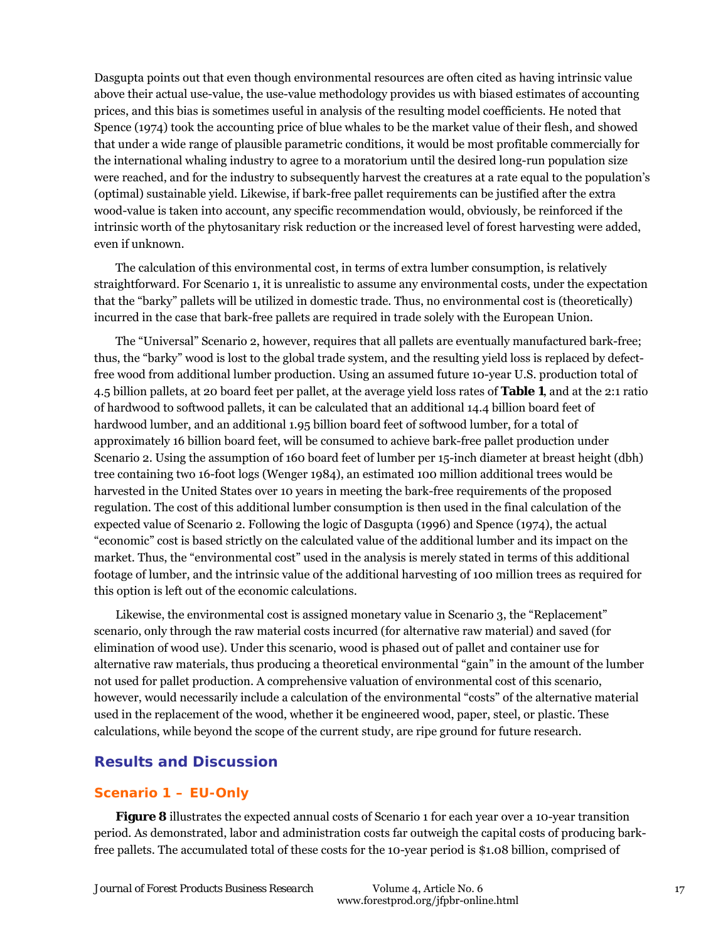Dasgupta points out that even though environmental resources are often cited as having intrinsic value above their actual use-value, the use-value methodology provides us with biased estimates of accounting prices, and this bias is sometimes useful in analysis of the resulting model coefficients. He noted that Spence (1974) took the accounting price of blue whales to be the market value of their flesh, and showed that under a wide range of plausible parametric conditions, it would be most profitable commercially for the international whaling industry to agree to a moratorium until the desired long-run population size were reached, and for the industry to subsequently harvest the creatures at a rate equal to the population's (optimal) sustainable yield. Likewise, if bark-free pallet requirements can be justified after the extra wood-value is taken into account, any specific recommendation would, obviously, be reinforced if the intrinsic worth of the phytosanitary risk reduction or the increased level of forest harvesting were added, even if unknown.

The calculation of this environmental cost, in terms of extra lumber consumption, is relatively straightforward. For Scenario 1, it is unrealistic to assume any environmental costs, under the expectation that the "barky" pallets will be utilized in domestic trade. Thus, no environmental cost is (theoretically) incurred in the case that bark-free pallets are required in trade solely with the European Union.

The "Universal" Scenario 2, however, requires that all pallets are eventually manufactured bark-free; thus, the "barky" wood is lost to the global trade system, and the resulting yield loss is replaced by defectfree wood from additional lumber production. Using an assumed future 10-year U.S. production total of 4.5 billion pallets, at 20 board feet per pallet, at the average yield loss rates of **Table 1**, and at the 2:1 ratio of hardwood to softwood pallets, it can be calculated that an additional 14.4 billion board feet of hardwood lumber, and an additional 1.95 billion board feet of softwood lumber, for a total of approximately 16 billion board feet, will be consumed to achieve bark-free pallet production under Scenario 2. Using the assumption of 160 board feet of lumber per 15-inch diameter at breast height (dbh) tree containing two 16-foot logs (Wenger 1984), an estimated 100 million additional trees would be harvested in the United States over 10 years in meeting the bark-free requirements of the proposed regulation. The cost of this additional lumber consumption is then used in the final calculation of the expected value of Scenario 2. Following the logic of Dasgupta (1996) and Spence (1974), the actual "economic" cost is based strictly on the calculated value of the additional lumber and its impact on the market. Thus, the "environmental cost" used in the analysis is merely stated in terms of this additional footage of lumber, and the intrinsic value of the additional harvesting of 100 million trees as required for this option is left out of the economic calculations.

Likewise, the environmental cost is assigned monetary value in Scenario 3, the "Replacement" scenario, only through the raw material costs incurred (for alternative raw material) and saved (for elimination of wood use). Under this scenario, wood is phased out of pallet and container use for alternative raw materials, thus producing a theoretical environmental "gain" in the amount of the lumber not used for pallet production. A comprehensive valuation of environmental cost of this scenario, however, would necessarily include a calculation of the environmental "costs" of the alternative material used in the replacement of the wood, whether it be engineered wood, paper, steel, or plastic. These calculations, while beyond the scope of the current study, are ripe ground for future research.

## **Results and Discussion**

#### **Scenario 1 – EU-Only**

**Figure 8** illustrates the expected annual costs of Scenario 1 for each year over a 10-year transition period. As demonstrated, labor and administration costs far outweigh the capital costs of producing barkfree pallets. The accumulated total of these costs for the 10-year period is \$1.08 billion, comprised of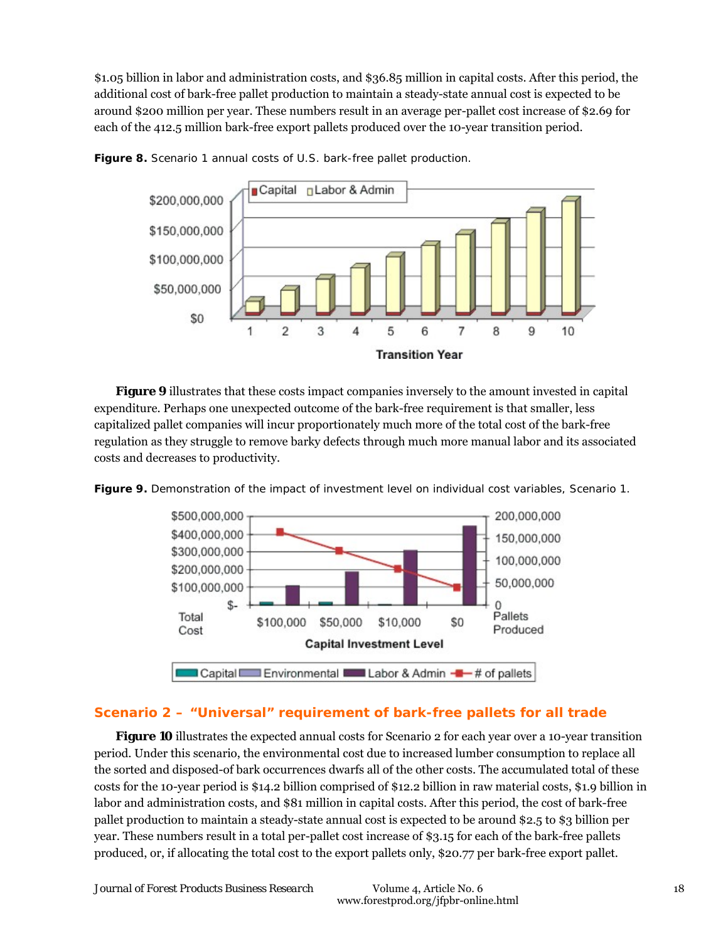\$1.05 billion in labor and administration costs, and \$36.85 million in capital costs. After this period, the additional cost of bark-free pallet production to maintain a steady-state annual cost is expected to be around \$200 million per year. These numbers result in an average per-pallet cost increase of \$2.69 for each of the 412.5 million bark-free export pallets produced over the 10-year transition period.



**Figure 8.** Scenario 1 annual costs of U.S. bark-free pallet production.

**Figure 9** illustrates that these costs impact companies inversely to the amount invested in capital expenditure. Perhaps one unexpected outcome of the bark-free requirement is that smaller, less capitalized pallet companies will incur proportionately much more of the total cost of the bark-free regulation as they struggle to remove barky defects through much more manual labor and its associated costs and decreases to productivity.





## **Scenario 2 – "Universal" requirement of bark-free pallets for all trade**

**Figure 10** illustrates the expected annual costs for Scenario 2 for each year over a 10-year transition period. Under this scenario, the environmental cost due to increased lumber consumption to replace all the sorted and disposed-of bark occurrences dwarfs all of the other costs. The accumulated total of these costs for the 10-year period is \$14.2 billion comprised of \$12.2 billion in raw material costs, \$1.9 billion in labor and administration costs, and \$81 million in capital costs. After this period, the cost of bark-free pallet production to maintain a steady-state annual cost is expected to be around \$2.5 to \$3 billion per year. These numbers result in a total per-pallet cost increase of \$3.15 for each of the bark-free pallets produced, or, if allocating the total cost to the export pallets only, \$20.77 per bark-free export pallet.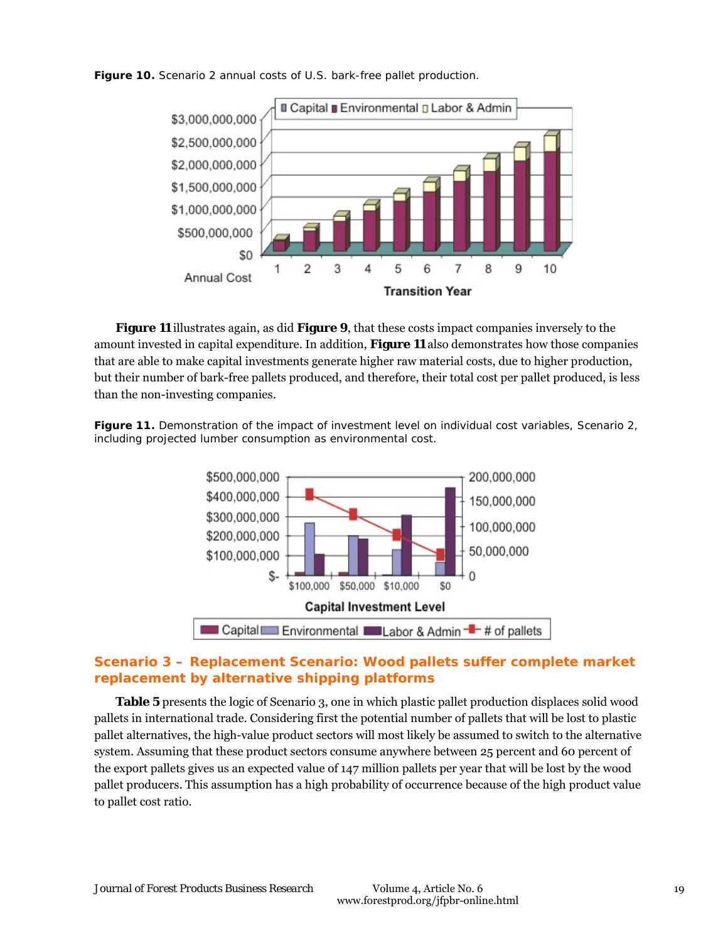**Figure 10.** Scenario 2 annual costs of U.S. bark-free pallet production.



**Figure 11** illustrates again, as did **Figure 9**, that these costs impact companies inversely to the amount invested in capital expenditure. In addition, **Figure 11** also demonstrates how those companies that are able to make capital investments generate higher raw material costs, due to higher production, but their number of bark-free pallets produced, and therefore, their total cost per pallet produced, is less than the non-investing companies.

**Figure 11.** Demonstration of the impact of investment level on individual cost variables, Scenario 2, including projected lumber consumption as environmental cost.



## **Scenario 3 – Replacement Scenario: Wood pallets suffer complete market replacement by alternative shipping platforms**

**Table 5** presents the logic of Scenario 3, one in which plastic pallet production displaces solid wood pallets in international trade. Considering first the potential number of pallets that will be lost to plastic pallet alternatives, the high-value product sectors will most likely be assumed to switch to the alternative system. Assuming that these product sectors consume anywhere between 25 percent and 60 percent of the export pallets gives us an expected value of 147 million pallets per year that will be lost by the wood pallet producers. This assumption has a high probability of occurrence because of the high product value to pallet cost ratio.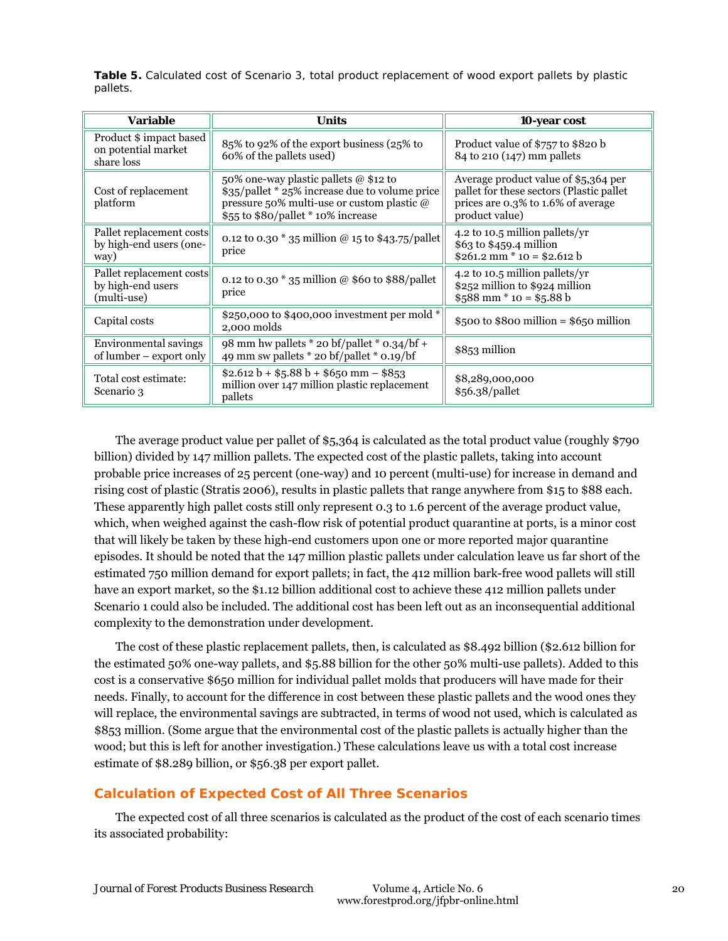**Table 5.** Calculated cost of Scenario 3, total product replacement of wood export pallets by plastic pallets.

| Variable                                                     | <b>Units</b>                                                                                                                                                                | 10-year cost                                                                                                                             |
|--------------------------------------------------------------|-----------------------------------------------------------------------------------------------------------------------------------------------------------------------------|------------------------------------------------------------------------------------------------------------------------------------------|
| Product \$ impact based<br>on potential market<br>share loss | 85% to 92% of the export business (25% to<br>60% of the pallets used)                                                                                                       | Product value of \$757 to \$820 b<br>84 to 210 (147) mm pallets                                                                          |
| Cost of replacement<br>platform                              | 50% one-way plastic pallets @ \$12 to<br>\$35/pallet * 25% increase due to volume price<br>pressure 50% multi-use or custom plastic @<br>\$55 to \$80/pallet * 10% increase | Average product value of \$5,364 per<br>pallet for these sectors (Plastic pallet<br>prices are 0.3% to 1.6% of average<br>product value) |
| Pallet replacement costs<br>by high-end users (one-<br>way)  | 0.12 to 0.30 $*$ 35 million @ 15 to \$43.75/pallet<br>price                                                                                                                 | 4.2 to 10.5 million pallets/yr<br>\$63 to \$459.4 million<br>$$261.2$ mm * 10 = \$2.612 b                                                |
| Pallet replacement costs<br>by high-end users<br>(multi-use) | 0.12 to 0.30 $*$ 35 million @ \$60 to \$88/pallet<br>price                                                                                                                  | 4.2 to 10.5 million pallets/yr<br>\$252 million to \$924 million<br>$$588$ mm $*$ 10 = \$5.88 b                                          |
| Capital costs                                                | \$250,000 to \$400,000 investment per mold *<br>2,000 molds                                                                                                                 | \$500 to \$800 million = \$650 million                                                                                                   |
| Environmental savings<br>of lumber – export only             | 98 mm hw pallets * 20 bf/pallet * 0.34/bf +<br>49 mm sw pallets * 20 bf/pallet * 0.19/bf                                                                                    | \$853 million                                                                                                                            |
| Total cost estimate:<br>Scenario 3                           | $$2.612 b + $5.88 b + $650 mm - $853$<br>million over 147 million plastic replacement<br>pallets                                                                            | \$8,289,000,000<br>\$56.38/pallet                                                                                                        |

The average product value per pallet of \$5,364 is calculated as the total product value (roughly \$790 billion) divided by 147 million pallets. The expected cost of the plastic pallets, taking into account probable price increases of 25 percent (one-way) and 10 percent (multi-use) for increase in demand and rising cost of plastic (Stratis 2006), results in plastic pallets that range anywhere from \$15 to \$88 each. These apparently high pallet costs still only represent 0.3 to 1.6 percent of the average product value, which, when weighed against the cash-flow risk of potential product quarantine at ports, is a minor cost that will likely be taken by these high-end customers upon one or more reported major quarantine episodes. It should be noted that the 147 million plastic pallets under calculation leave us far short of the estimated 750 million demand for export pallets; in fact, the 412 million bark-free wood pallets will still have an export market, so the \$1.12 billion additional cost to achieve these 412 million pallets under Scenario 1 could also be included. The additional cost has been left out as an inconsequential additional complexity to the demonstration under development.

The cost of these plastic replacement pallets, then, is calculated as \$8.492 billion (\$2.612 billion for the estimated 50% one-way pallets, and \$5.88 billion for the other 50% multi-use pallets). Added to this cost is a conservative \$650 million for individual pallet molds that producers will have made for their needs. Finally, to account for the difference in cost between these plastic pallets and the wood ones they will replace, the environmental savings are subtracted, in terms of wood not used, which is calculated as \$853 million. (Some argue that the environmental cost of the plastic pallets is actually higher than the wood; but this is left for another investigation.) These calculations leave us with a total cost increase estimate of \$8.289 billion, or \$56.38 per export pallet.

## **Calculation of Expected Cost of All Three Scenarios**

The expected cost of all three scenarios is calculated as the product of the cost of each scenario times its associated probability: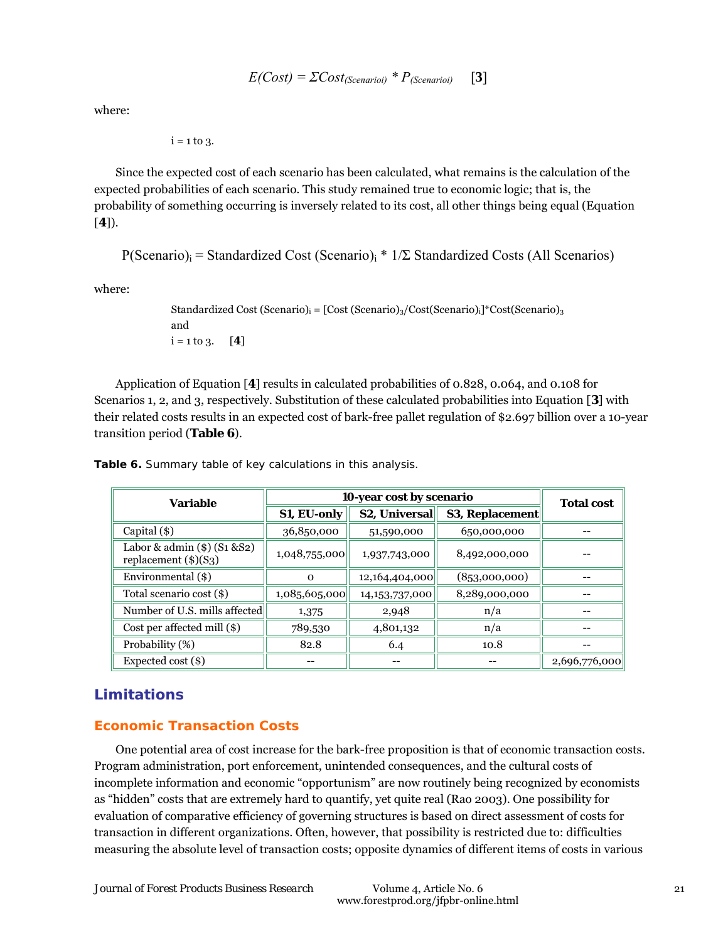$E(Cost) = \sum Cost_{(Scenarioi)} * P_{(Scenarioi)}$  [3]

where:

$$
i=1\;{\rm to}\; 3.
$$

Since the expected cost of each scenario has been calculated, what remains is the calculation of the expected probabilities of each scenario. This study remained true to economic logic; that is, the probability of something occurring is inversely related to its cost, all other things being equal (Equation [**4**]).

P(Scenario)<sub>i</sub> = Standardized Cost (Scenario)<sub>i</sub> \*  $1/\Sigma$  Standardized Costs (All Scenarios)

where:

```
Standardized Cost (Scenario)<sub>i</sub> = [Cost (Scenario)<sub>3</sub>/Cost (Scenario)<sub>1</sub>]<sup>*</sup>Cost(Scenario)<sub>3</sub>
and 
i = 1 to 3. [4]
```
Application of Equation [**4**] results in calculated probabilities of 0.828, 0.064, and 0.108 for Scenarios 1, 2, and 3, respectively. Substitution of these calculated probabilities into Equation [**3**] with their related costs results in an expected cost of bark-free pallet regulation of \$2.697 billion over a 10-year transition period (**Table 6**).

|                                        | <b>Total cost</b> |                        |                          |  |
|----------------------------------------|-------------------|------------------------|--------------------------|--|
| <b>S2, Universal</b><br>S1, EU-only    |                   | <b>S3, Replacement</b> |                          |  |
| 36,850,000                             | 51,590,000        | 650,000,000            |                          |  |
| 1,048,755,000                          | 1,937,743,000     | 8,492,000,000          |                          |  |
| $\Omega$                               | 12,164,404,000    | (853,000,000)          |                          |  |
| 1,085,605,000                          | 14, 153, 737, 000 | 8,289,000,000          |                          |  |
| Number of U.S. mills affected<br>1,375 | 2,948             | n/a                    |                          |  |
| 789,530                                | 4,801,132         | n/a                    |                          |  |
| 82.8                                   | 6.4               | 10.8                   |                          |  |
|                                        |                   |                        | 2,696,776,000            |  |
|                                        |                   |                        | 10-year cost by scenario |  |

**Table 6.** Summary table of key calculations in this analysis.

## **Limitations**

## **Economic Transaction Costs**

One potential area of cost increase for the bark-free proposition is that of economic transaction costs. Program administration, port enforcement, unintended consequences, and the cultural costs of incomplete information and economic "opportunism" are now routinely being recognized by economists as "hidden" costs that are extremely hard to quantify, yet quite real (Rao 2003). One possibility for evaluation of comparative efficiency of governing structures is based on direct assessment of costs for transaction in different organizations. Often, however, that possibility is restricted due to: difficulties measuring the absolute level of transaction costs; opposite dynamics of different items of costs in various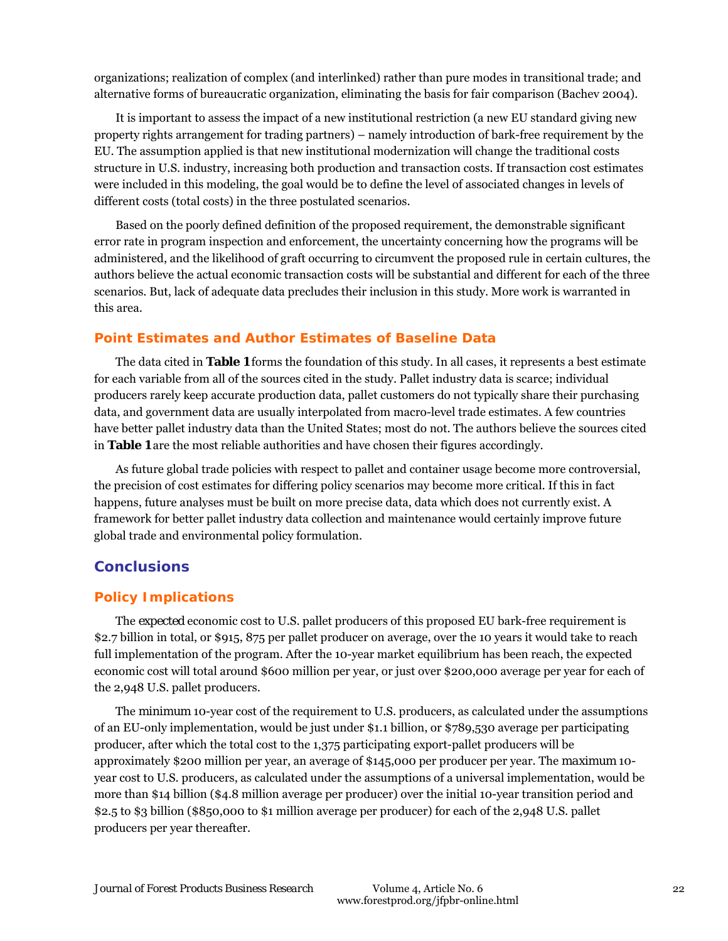organizations; realization of complex (and interlinked) rather than pure modes in transitional trade; and alternative forms of bureaucratic organization, eliminating the basis for fair comparison (Bachev 2004).

It is important to assess the impact of a new institutional restriction (a new EU standard giving new property rights arrangement for trading partners) – namely introduction of bark-free requirement by the EU. The assumption applied is that new institutional modernization will change the traditional costs structure in U.S. industry, increasing both production and transaction costs. If transaction cost estimates were included in this modeling, the goal would be to define the level of associated changes in levels of different costs (total costs) in the three postulated scenarios.

Based on the poorly defined definition of the proposed requirement, the demonstrable significant error rate in program inspection and enforcement, the uncertainty concerning how the programs will be administered, and the likelihood of graft occurring to circumvent the proposed rule in certain cultures, the authors believe the actual economic transaction costs will be substantial and different for each of the three scenarios. But, lack of adequate data precludes their inclusion in this study. More work is warranted in this area.

#### **Point Estimates and Author Estimates of Baseline Data**

The data cited in **Table 1** forms the foundation of this study. In all cases, it represents a best estimate for each variable from all of the sources cited in the study. Pallet industry data is scarce; individual producers rarely keep accurate production data, pallet customers do not typically share their purchasing data, and government data are usually interpolated from macro-level trade estimates. A few countries have better pallet industry data than the United States; most do not. The authors believe the sources cited in **Table 1** are the most reliable authorities and have chosen their figures accordingly.

As future global trade policies with respect to pallet and container usage become more controversial, the precision of cost estimates for differing policy scenarios may become more critical. If this in fact happens, future analyses must be built on more precise data, data which does not currently exist. A framework for better pallet industry data collection and maintenance would certainly improve future global trade and environmental policy formulation.

## **Conclusions**

#### **Policy Implications**

The *expected* economic cost to U.S. pallet producers of this proposed EU bark-free requirement is \$2.7 billion in total, or \$915, 875 per pallet producer on average, over the 10 years it would take to reach full implementation of the program. After the 10-year market equilibrium has been reach, the expected economic cost will total around \$600 million per year, or just over \$200,000 average per year for each of the 2,948 U.S. pallet producers.

The *minimum* 10-year cost of the requirement to U.S. producers, as calculated under the assumptions of an EU-only implementation, would be just under \$1.1 billion, or \$789,530 average per participating producer, after which the total cost to the 1,375 participating export-pallet producers will be approximately \$200 million per year, an average of \$145,000 per producer per year. The *maximum* 10 year cost to U.S. producers, as calculated under the assumptions of a universal implementation, would be more than \$14 billion (\$4.8 million average per producer) over the initial 10-year transition period and \$2.5 to \$3 billion (\$850,000 to \$1 million average per producer) for each of the 2,948 U.S. pallet producers per year thereafter.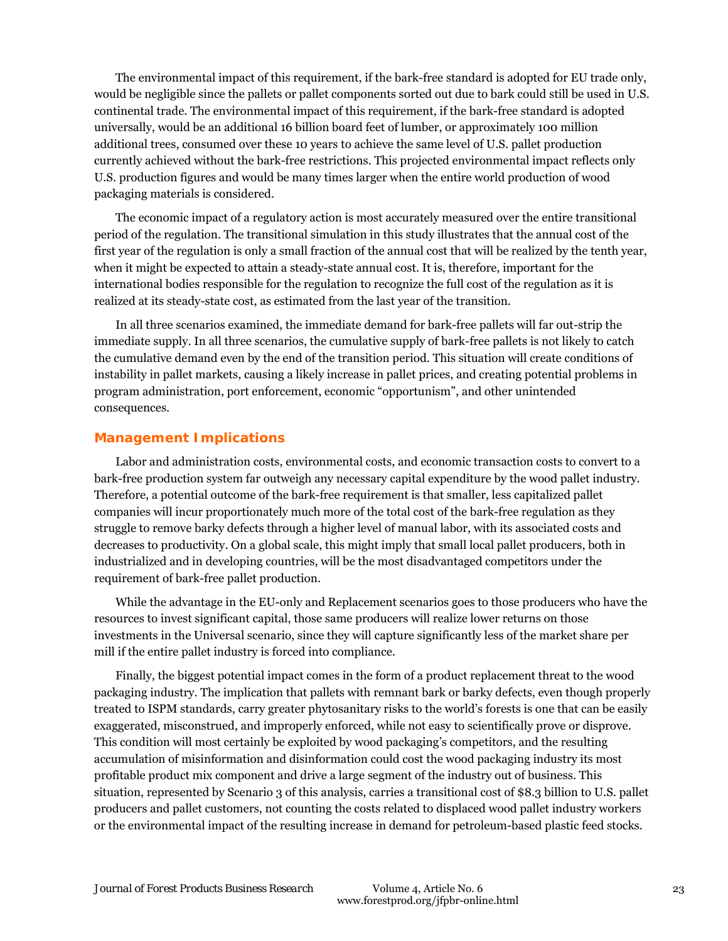The environmental impact of this requirement, if the bark-free standard is adopted for EU trade only, would be negligible since the pallets or pallet components sorted out due to bark could still be used in U.S. continental trade. The environmental impact of this requirement, if the bark-free standard is adopted universally, would be an additional 16 billion board feet of lumber, or approximately 100 million additional trees, consumed over these 10 years to achieve the same level of U.S. pallet production currently achieved without the bark-free restrictions. This projected environmental impact reflects only U.S. production figures and would be many times larger when the entire world production of wood packaging materials is considered.

The economic impact of a regulatory action is most accurately measured over the entire transitional period of the regulation. The transitional simulation in this study illustrates that the annual cost of the first year of the regulation is only a small fraction of the annual cost that will be realized by the tenth year, when it might be expected to attain a steady-state annual cost. It is, therefore, important for the international bodies responsible for the regulation to recognize the full cost of the regulation as it is realized at its steady-state cost, as estimated from the last year of the transition.

In all three scenarios examined, the immediate demand for bark-free pallets will far out-strip the immediate supply. In all three scenarios, the cumulative supply of bark-free pallets is not likely to catch the cumulative demand even by the end of the transition period. This situation will create conditions of instability in pallet markets, causing a likely increase in pallet prices, and creating potential problems in program administration, port enforcement, economic "opportunism", and other unintended consequences.

#### **Management Implications**

Labor and administration costs, environmental costs, and economic transaction costs to convert to a bark-free production system far outweigh any necessary capital expenditure by the wood pallet industry. Therefore, a potential outcome of the bark-free requirement is that smaller, less capitalized pallet companies will incur proportionately much more of the total cost of the bark-free regulation as they struggle to remove barky defects through a higher level of manual labor, with its associated costs and decreases to productivity. On a global scale, this might imply that small local pallet producers, both in industrialized and in developing countries, will be the most disadvantaged competitors under the requirement of bark-free pallet production.

While the advantage in the EU-only and Replacement scenarios goes to those producers who have the resources to invest significant capital, those same producers will realize lower returns on those investments in the Universal scenario, since they will capture significantly less of the market share per mill if the entire pallet industry is forced into compliance.

Finally, the biggest potential impact comes in the form of a product replacement threat to the wood packaging industry. The implication that pallets with remnant bark or barky defects, even though properly treated to ISPM standards, carry greater phytosanitary risks to the world's forests is one that can be easily exaggerated, misconstrued, and improperly enforced, while not easy to scientifically prove or disprove. This condition will most certainly be exploited by wood packaging's competitors, and the resulting accumulation of misinformation and disinformation could cost the wood packaging industry its most profitable product mix component and drive a large segment of the industry out of business. This situation, represented by Scenario 3 of this analysis, carries a transitional cost of \$8.3 billion to U.S. pallet producers and pallet customers, not counting the costs related to displaced wood pallet industry workers or the environmental impact of the resulting increase in demand for petroleum-based plastic feed stocks.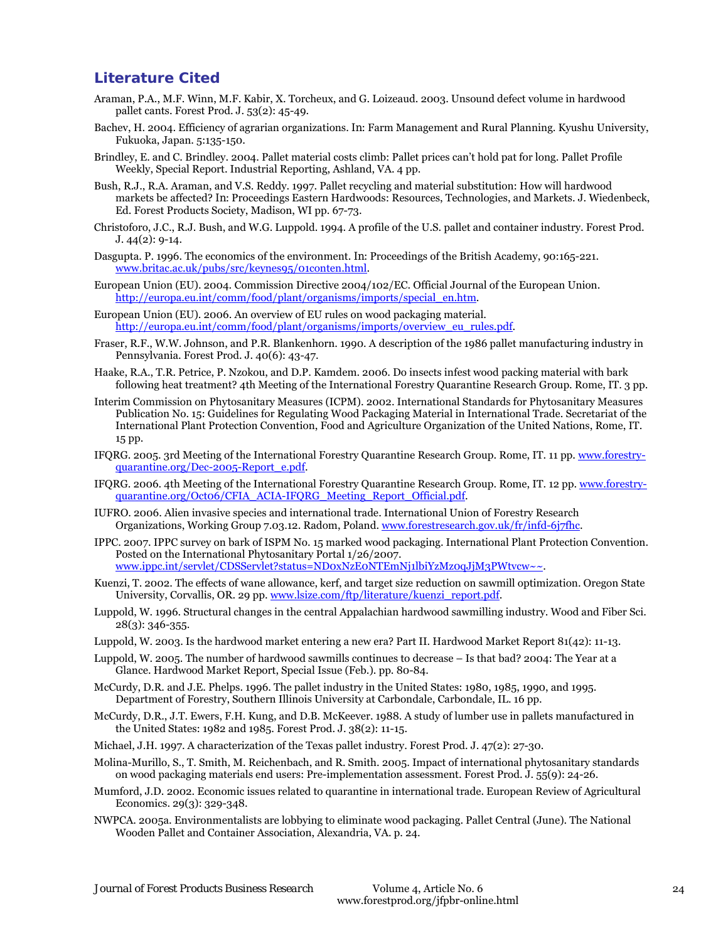## **Literature Cited**

- Araman, P.A., M.F. Winn, M.F. Kabir, X. Torcheux, and G. Loizeaud. 2003. Unsound defect volume in hardwood pallet cants. Forest Prod. J. 53(2): 45-49.
- Bachev, H. 2004. Efficiency of agrarian organizations. *In*: Farm Management and Rural Planning. Kyushu University, Fukuoka, Japan. 5:135-150.
- Brindley, E. and C. Brindley. 2004. Pallet material costs climb: Pallet prices can't hold pat for long. Pallet Profile Weekly, Special Report. Industrial Reporting, Ashland, VA. 4 pp.
- Bush, R.J., R.A. Araman, and V.S. Reddy. 1997. Pallet recycling and material substitution: How will hardwood markets be affected? *In*: Proceedings Eastern Hardwoods: Resources, Technologies, and Markets. J. Wiedenbeck, Ed. Forest Products Society, Madison, WI pp. 67-73.
- Christoforo, J.C., R.J. Bush, and W.G. Luppold. 1994. A profile of the U.S. pallet and container industry. Forest Prod. J. 44(2): 9-14.
- Dasgupta. P. 1996. The economics of the environment. *In*: Proceedings of the British Academy, 90:165-221. www.britac.ac.uk/pubs/src/keynes95/01conten.html.
- European Union (EU). 2004. Commission Directive 2004/102/EC. Official Journal of the European Union. http://europa.eu.int/comm/food/plant/organisms/imports/special\_en.htm.
- European Union (EU). 2006. An overview of EU rules on wood packaging material. http://europa.eu.int/comm/food/plant/organisms/imports/overview\_eu\_rules.pdf.
- Fraser, R.F., W.W. Johnson, and P.R. Blankenhorn. 1990. A description of the 1986 pallet manufacturing industry in Pennsylvania. Forest Prod. J. 40(6): 43-47.
- Haake, R.A., T.R. Petrice, P. Nzokou, and D.P. Kamdem. 2006. Do insects infest wood packing material with bark following heat treatment? 4th Meeting of the International Forestry Quarantine Research Group. Rome, IT. 3 pp.
- Interim Commission on Phytosanitary Measures (ICPM). 2002. International Standards for Phytosanitary Measures Publication No. 15: Guidelines for Regulating Wood Packaging Material in International Trade. Secretariat of the International Plant Protection Convention, Food and Agriculture Organization of the United Nations, Rome, IT. 15 pp.
- IFQRG. 2005. 3rd Meeting of the International Forestry Quarantine Research Group. Rome, IT. 11 pp. www.forestryquarantine.org/Dec-2005-Report\_e.pdf.
- IFQRG. 2006. 4th Meeting of the International Forestry Quarantine Research Group. Rome, IT. 12 pp. www.forestryquarantine.org/Oct06/CFIA\_ACIA-IFQRG\_Meeting\_Report\_Official.pdf.
- IUFRO. 2006. Alien invasive species and international trade. International Union of Forestry Research Organizations, Working Group 7.03.12. Radom, Poland. www.forestresearch.gov.uk/fr/infd-6j7fhc.
- IPPC. 2007. IPPC survey on bark of ISPM No. 15 marked wood packaging. International Plant Protection Convention. Posted on the International Phytosanitary Portal 1/26/2007. www.ippc.int/servlet/CDSServlet?status=ND0xNzE0NTEmNj1lbiYzMz0qJjM3PWtvcw~~.
- Kuenzi, T. 2002. The effects of wane allowance, kerf, and target size reduction on sawmill optimization. Oregon State University, Corvallis, OR. 29 pp. www.lsize.com/ftp/literature/kuenzi\_report.pdf.
- Luppold, W. 1996. Structural changes in the central Appalachian hardwood sawmilling industry. Wood and Fiber Sci. 28(3): 346-355.
- Luppold, W. 2003. Is the hardwood market entering a new era? Part II. Hardwood Market Report 81(42): 11-13.
- Luppold, W. 2005. The number of hardwood sawmills continues to decrease Is that bad? 2004: The Year at a Glance. Hardwood Market Report, Special Issue (Feb.). pp. 80-84.
- McCurdy, D.R. and J.E. Phelps. 1996. The pallet industry in the United States: 1980, 1985, 1990, and 1995. Department of Forestry, Southern Illinois University at Carbondale, Carbondale, IL. 16 pp.
- McCurdy, D.R., J.T. Ewers, F.H. Kung, and D.B. McKeever. 1988. A study of lumber use in pallets manufactured in the United States: 1982 and 1985. Forest Prod. J. 38(2): 11-15.
- Michael, J.H. 1997. A characterization of the Texas pallet industry. Forest Prod. J. 47(2): 27-30.
- Molina-Murillo, S., T. Smith, M. Reichenbach, and R. Smith. 2005. Impact of international phytosanitary standards on wood packaging materials end users: Pre-implementation assessment. Forest Prod. J. 55(9): 24-26.
- Mumford, J.D. 2002. Economic issues related to quarantine in international trade. European Review of Agricultural Economics. 29(3): 329-348.
- NWPCA. 2005a. Environmentalists are lobbying to eliminate wood packaging. Pallet Central (June). The National Wooden Pallet and Container Association, Alexandria, VA. p. 24.